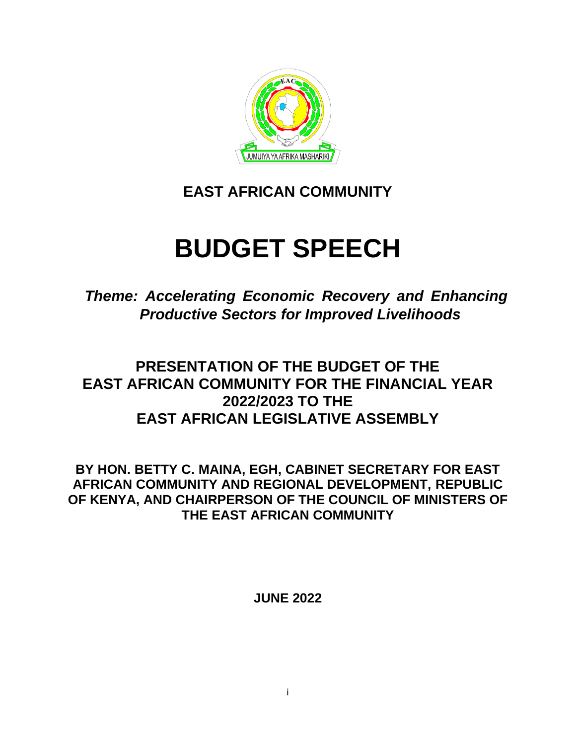

# **EAST AFRICAN COMMUNITY**

# **BUDGET SPEECH**

*Theme: Accelerating Economic Recovery and Enhancing Productive Sectors for Improved Livelihoods*

# **PRESENTATION OF THE BUDGET OF THE EAST AFRICAN COMMUNITY FOR THE FINANCIAL YEAR 2022/2023 TO THE EAST AFRICAN LEGISLATIVE ASSEMBLY**

**BY HON. BETTY C. MAINA, EGH, CABINET SECRETARY FOR EAST AFRICAN COMMUNITY AND REGIONAL DEVELOPMENT, REPUBLIC OF KENYA, AND CHAIRPERSON OF THE COUNCIL OF MINISTERS OF THE EAST AFRICAN COMMUNITY**

**JUNE 2022**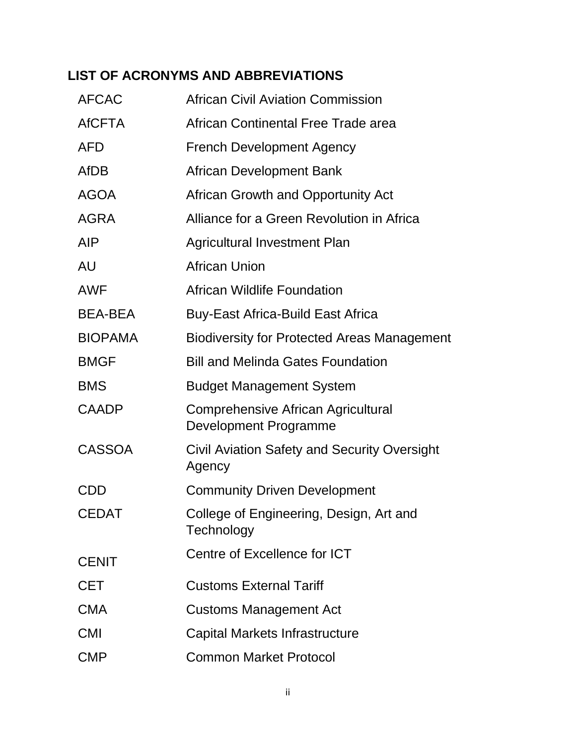# **LIST OF ACRONYMS AND ABBREVIATIONS**

| <b>AFCAC</b>   | <b>African Civil Aviation Commission</b>                           |
|----------------|--------------------------------------------------------------------|
| <b>AfCFTA</b>  | African Continental Free Trade area                                |
| <b>AFD</b>     | <b>French Development Agency</b>                                   |
| <b>AfDB</b>    | African Development Bank                                           |
| <b>AGOA</b>    | African Growth and Opportunity Act                                 |
| <b>AGRA</b>    | Alliance for a Green Revolution in Africa                          |
| <b>AIP</b>     | <b>Agricultural Investment Plan</b>                                |
| AU             | <b>African Union</b>                                               |
| <b>AWF</b>     | <b>African Wildlife Foundation</b>                                 |
| <b>BEA-BEA</b> | <b>Buy-East Africa-Build East Africa</b>                           |
| <b>BIOPAMA</b> | <b>Biodiversity for Protected Areas Management</b>                 |
| <b>BMGF</b>    | <b>Bill and Melinda Gates Foundation</b>                           |
| <b>BMS</b>     | <b>Budget Management System</b>                                    |
| <b>CAADP</b>   | Comprehensive African Agricultural<br><b>Development Programme</b> |
| <b>CASSOA</b>  | Civil Aviation Safety and Security Oversight<br>Agency             |
| CDD            | <b>Community Driven Development</b>                                |
| <b>CEDAT</b>   | College of Engineering, Design, Art and<br>Technology              |
| <b>CENIT</b>   | Centre of Excellence for ICT                                       |
| <b>CET</b>     | <b>Customs External Tariff</b>                                     |
| <b>CMA</b>     | <b>Customs Management Act</b>                                      |
| <b>CMI</b>     | Capital Markets Infrastructure                                     |
| <b>CMP</b>     | <b>Common Market Protocol</b>                                      |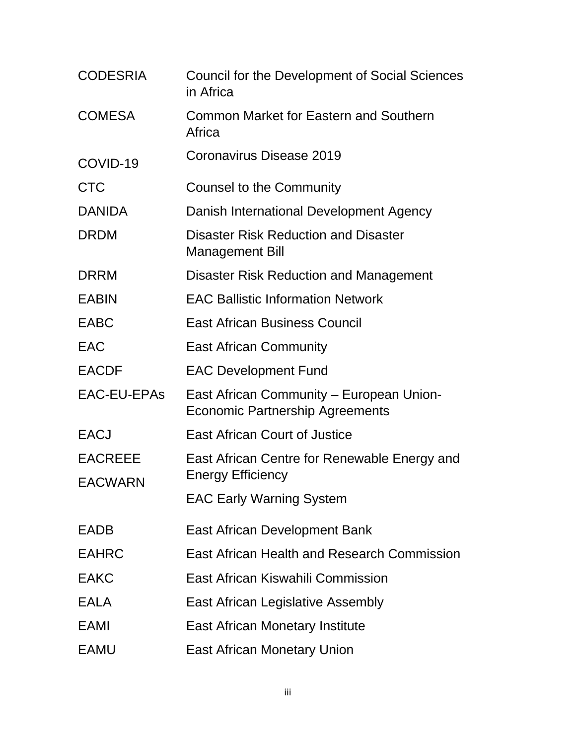| <b>CODESRIA</b>                  | Council for the Development of Social Sciences<br>in Africa                        |
|----------------------------------|------------------------------------------------------------------------------------|
| <b>COMESA</b>                    | Common Market for Eastern and Southern<br>Africa                                   |
| COVID-19                         | Coronavirus Disease 2019                                                           |
| <b>CTC</b>                       | Counsel to the Community                                                           |
| <b>DANIDA</b>                    | Danish International Development Agency                                            |
| <b>DRDM</b>                      | <b>Disaster Risk Reduction and Disaster</b><br><b>Management Bill</b>              |
| <b>DRRM</b>                      | <b>Disaster Risk Reduction and Management</b>                                      |
| <b>EABIN</b>                     | <b>EAC Ballistic Information Network</b>                                           |
| <b>EABC</b>                      | <b>East African Business Council</b>                                               |
| EAC                              | <b>East African Community</b>                                                      |
| <b>EACDF</b>                     | <b>EAC Development Fund</b>                                                        |
| EAC-EU-EPAs                      | East African Community – European Union-<br><b>Economic Partnership Agreements</b> |
| <b>EACJ</b>                      | <b>East African Court of Justice</b>                                               |
| <b>EACREEE</b><br><b>EACWARN</b> | East African Centre for Renewable Energy and<br><b>Energy Efficiency</b>           |
|                                  | <b>EAC Early Warning System</b>                                                    |
| <b>EADB</b>                      | East African Development Bank                                                      |
| <b>EAHRC</b>                     | East African Health and Research Commission                                        |
| <b>EAKC</b>                      | East African Kiswahili Commission                                                  |
| <b>EALA</b>                      | East African Legislative Assembly                                                  |
| EAMI                             | <b>East African Monetary Institute</b>                                             |
| <b>EAMU</b>                      | <b>East African Monetary Union</b>                                                 |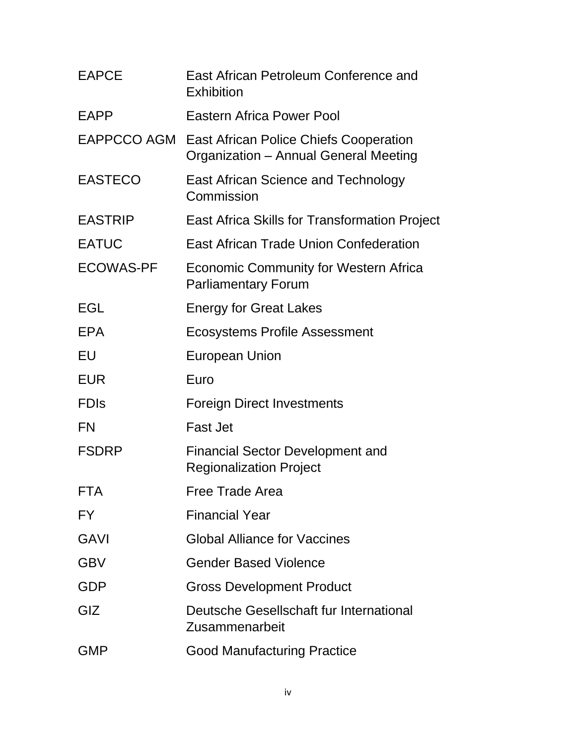| <b>EAPCE</b>     | East African Petroleum Conference and<br>Exhibition                                    |
|------------------|----------------------------------------------------------------------------------------|
| <b>EAPP</b>      | Eastern Africa Power Pool                                                              |
| EAPPCCO AGM      | <b>East African Police Chiefs Cooperation</b><br>Organization - Annual General Meeting |
| <b>EASTECO</b>   | <b>East African Science and Technology</b><br>Commission                               |
| <b>EASTRIP</b>   | <b>East Africa Skills for Transformation Project</b>                                   |
| <b>EATUC</b>     | East African Trade Union Confederation                                                 |
| <b>ECOWAS-PF</b> | <b>Economic Community for Western Africa</b><br><b>Parliamentary Forum</b>             |
| EGL              | <b>Energy for Great Lakes</b>                                                          |
| <b>EPA</b>       | Ecosystems Profile Assessment                                                          |
| EU               | <b>European Union</b>                                                                  |
| <b>EUR</b>       | Euro                                                                                   |
| <b>FDIS</b>      | <b>Foreign Direct Investments</b>                                                      |
| <b>FN</b>        | <b>Fast Jet</b>                                                                        |
| <b>FSDRP</b>     | <b>Financial Sector Development and</b><br><b>Regionalization Project</b>              |
| <b>FTA</b>       | <b>Free Trade Area</b>                                                                 |
| FY               | <b>Financial Year</b>                                                                  |
| <b>GAVI</b>      | <b>Global Alliance for Vaccines</b>                                                    |
| <b>GBV</b>       | <b>Gender Based Violence</b>                                                           |
| GDP              | <b>Gross Development Product</b>                                                       |
| GIZ              | Deutsche Gesellschaft fur International<br>Zusammenarbeit                              |
| <b>GMP</b>       | <b>Good Manufacturing Practice</b>                                                     |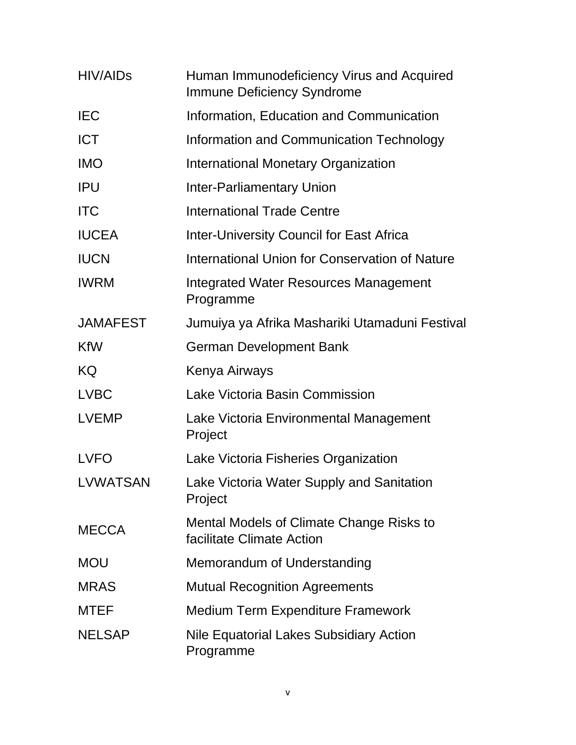| <b>HIV/AIDs</b> | Human Immunodeficiency Virus and Acquired<br><b>Immune Deficiency Syndrome</b> |
|-----------------|--------------------------------------------------------------------------------|
| <b>IEC</b>      | Information, Education and Communication                                       |
| <b>ICT</b>      | Information and Communication Technology                                       |
| <b>IMO</b>      | International Monetary Organization                                            |
| <b>IPU</b>      | <b>Inter-Parliamentary Union</b>                                               |
| <b>ITC</b>      | <b>International Trade Centre</b>                                              |
| <b>IUCEA</b>    | <b>Inter-University Council for East Africa</b>                                |
| <b>IUCN</b>     | International Union for Conservation of Nature                                 |
| <b>IWRM</b>     | Integrated Water Resources Management<br>Programme                             |
| <b>JAMAFEST</b> | Jumuiya ya Afrika Mashariki Utamaduni Festival                                 |
| <b>KfW</b>      | <b>German Development Bank</b>                                                 |
| KQ              | Kenya Airways                                                                  |
| <b>LVBC</b>     | Lake Victoria Basin Commission                                                 |
| <b>LVEMP</b>    | Lake Victoria Environmental Management<br>Project                              |
| <b>LVFO</b>     | Lake Victoria Fisheries Organization                                           |
| LVWATSAN        | Lake Victoria Water Supply and Sanitation<br>Project                           |
| <b>MECCA</b>    | Mental Models of Climate Change Risks to<br>facilitate Climate Action          |
| <b>MOU</b>      | Memorandum of Understanding                                                    |
| <b>MRAS</b>     | <b>Mutual Recognition Agreements</b>                                           |
| <b>MTEF</b>     | <b>Medium Term Expenditure Framework</b>                                       |
| <b>NELSAP</b>   | Nile Equatorial Lakes Subsidiary Action<br>Programme                           |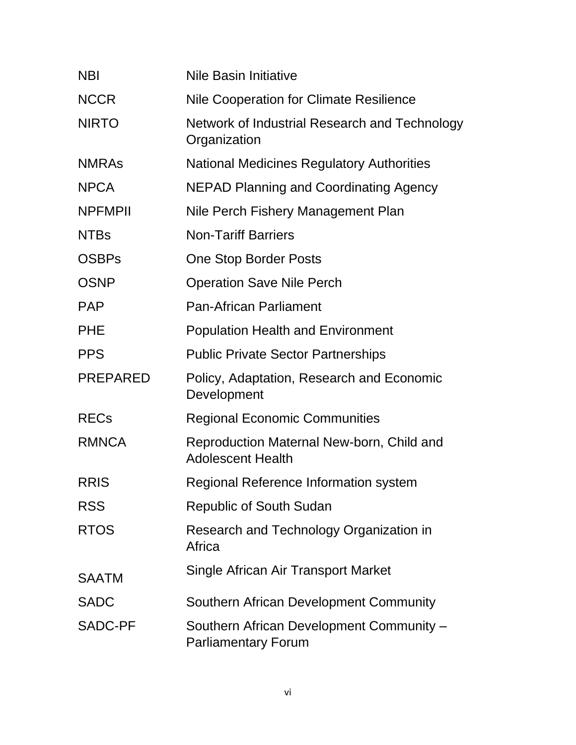| <b>NBI</b>      | <b>Nile Basin Initiative</b>                                           |
|-----------------|------------------------------------------------------------------------|
| <b>NCCR</b>     | <b>Nile Cooperation for Climate Resilience</b>                         |
| <b>NIRTO</b>    | Network of Industrial Research and Technology<br>Organization          |
| <b>NMRAS</b>    | <b>National Medicines Regulatory Authorities</b>                       |
| <b>NPCA</b>     | <b>NEPAD Planning and Coordinating Agency</b>                          |
| <b>NPFMPII</b>  | Nile Perch Fishery Management Plan                                     |
| <b>NTBs</b>     | <b>Non-Tariff Barriers</b>                                             |
| <b>OSBPs</b>    | <b>One Stop Border Posts</b>                                           |
| <b>OSNP</b>     | <b>Operation Save Nile Perch</b>                                       |
| <b>PAP</b>      | <b>Pan-African Parliament</b>                                          |
| <b>PHE</b>      | <b>Population Health and Environment</b>                               |
| <b>PPS</b>      | <b>Public Private Sector Partnerships</b>                              |
| <b>PREPARED</b> | Policy, Adaptation, Research and Economic<br>Development               |
| <b>RECs</b>     | <b>Regional Economic Communities</b>                                   |
| <b>RMNCA</b>    | Reproduction Maternal New-born, Child and<br><b>Adolescent Health</b>  |
| <b>RRIS</b>     | Regional Reference Information system                                  |
| <b>RSS</b>      | <b>Republic of South Sudan</b>                                         |
| <b>RTOS</b>     | Research and Technology Organization in<br>Africa                      |
| <b>SAATM</b>    | Single African Air Transport Market                                    |
| <b>SADC</b>     | Southern African Development Community                                 |
| <b>SADC-PF</b>  | Southern African Development Community -<br><b>Parliamentary Forum</b> |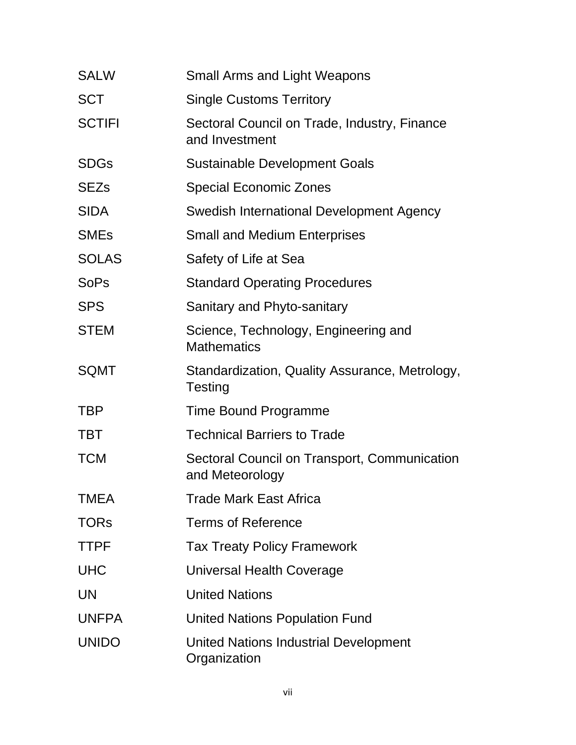| <b>SALW</b>   | <b>Small Arms and Light Weapons</b>                             |
|---------------|-----------------------------------------------------------------|
| <b>SCT</b>    | <b>Single Customs Territory</b>                                 |
| <b>SCTIFI</b> | Sectoral Council on Trade, Industry, Finance<br>and Investment  |
| <b>SDGs</b>   | <b>Sustainable Development Goals</b>                            |
| <b>SEZs</b>   | <b>Special Economic Zones</b>                                   |
| <b>SIDA</b>   | Swedish International Development Agency                        |
| <b>SMEs</b>   | <b>Small and Medium Enterprises</b>                             |
| <b>SOLAS</b>  | Safety of Life at Sea                                           |
| <b>SoPs</b>   | <b>Standard Operating Procedures</b>                            |
| <b>SPS</b>    | Sanitary and Phyto-sanitary                                     |
| <b>STEM</b>   | Science, Technology, Engineering and<br><b>Mathematics</b>      |
| <b>SQMT</b>   | Standardization, Quality Assurance, Metrology,<br>Testing       |
| <b>TBP</b>    | Time Bound Programme                                            |
| <b>TBT</b>    | <b>Technical Barriers to Trade</b>                              |
| <b>TCM</b>    | Sectoral Council on Transport, Communication<br>and Meteorology |
| <b>TMEA</b>   | <b>Trade Mark East Africa</b>                                   |
| <b>TORs</b>   | <b>Terms of Reference</b>                                       |
| <b>TTPF</b>   | <b>Tax Treaty Policy Framework</b>                              |
| <b>UHC</b>    | Universal Health Coverage                                       |
| <b>UN</b>     | <b>United Nations</b>                                           |
| <b>UNFPA</b>  | <b>United Nations Population Fund</b>                           |
| <b>UNIDO</b>  | United Nations Industrial Development<br>Organization           |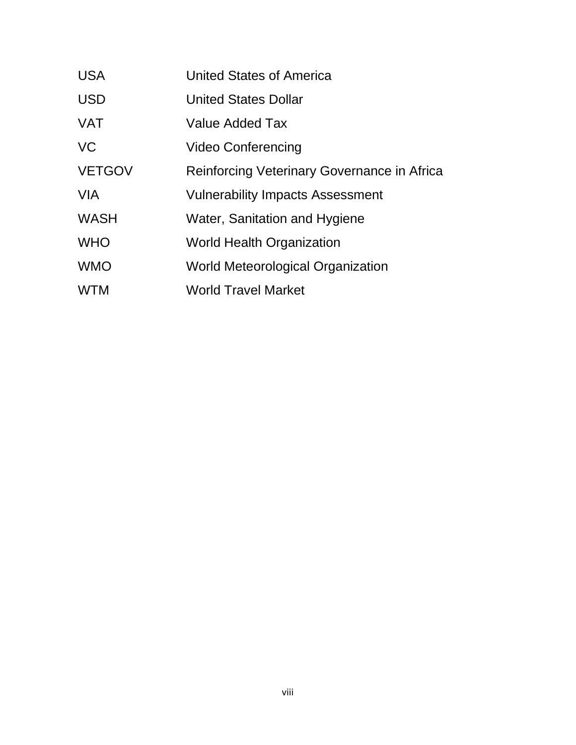| <b>USA</b>    | United States of America                    |
|---------------|---------------------------------------------|
| <b>USD</b>    | <b>United States Dollar</b>                 |
| <b>VAT</b>    | Value Added Tax                             |
| <b>VC</b>     | <b>Video Conferencing</b>                   |
| <b>VETGOV</b> | Reinforcing Veterinary Governance in Africa |
| <b>VIA</b>    | Vulnerability Impacts Assessment            |
| <b>WASH</b>   | Water, Sanitation and Hygiene               |
| <b>WHO</b>    | <b>World Health Organization</b>            |
| <b>WMO</b>    | World Meteorological Organization           |
| <b>WTM</b>    | <b>World Travel Market</b>                  |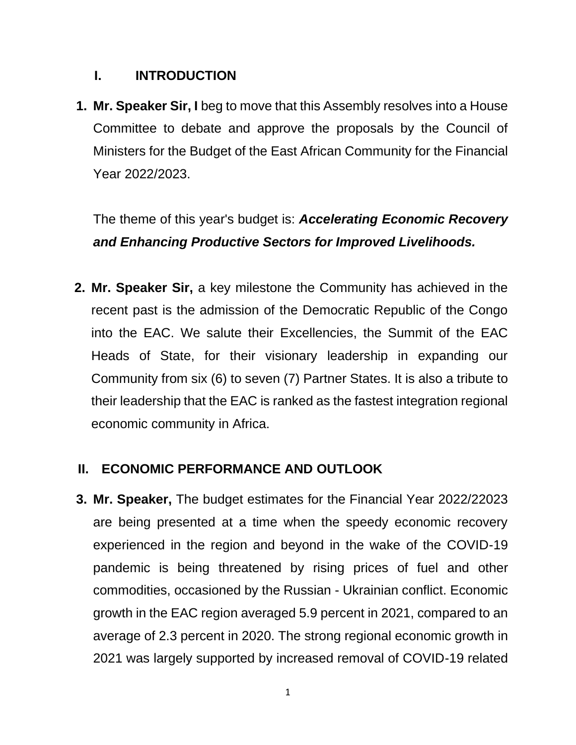# **I. INTRODUCTION**

**1. Mr. Speaker Sir, I** beg to move that this Assembly resolves into a House Committee to debate and approve the proposals by the Council of Ministers for the Budget of the East African Community for the Financial Year 2022/2023.

The theme of this year's budget is: *Accelerating Economic Recovery and Enhancing Productive Sectors for Improved Livelihoods.*

**2. Mr. Speaker Sir,** a key milestone the Community has achieved in the recent past is the admission of the Democratic Republic of the Congo into the EAC. We salute their Excellencies, the Summit of the EAC Heads of State, for their visionary leadership in expanding our Community from six (6) to seven (7) Partner States. It is also a tribute to their leadership that the EAC is ranked as the fastest integration regional economic community in Africa.

# **II. ECONOMIC PERFORMANCE AND OUTLOOK**

**3. Mr. Speaker,** The budget estimates for the Financial Year 2022/22023 are being presented at a time when the speedy economic recovery experienced in the region and beyond in the wake of the COVID-19 pandemic is being threatened by rising prices of fuel and other commodities, occasioned by the Russian - Ukrainian conflict. Economic growth in the EAC region averaged 5.9 percent in 2021, compared to an average of 2.3 percent in 2020. The strong regional economic growth in 2021 was largely supported by increased removal of COVID-19 related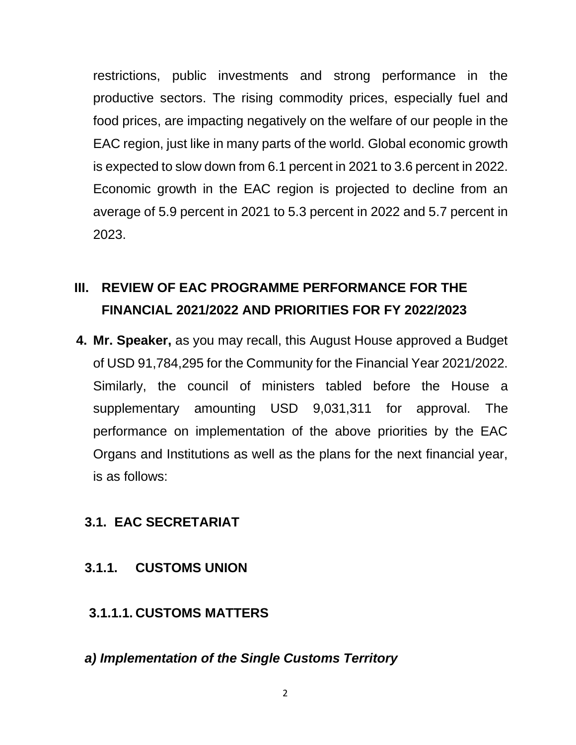restrictions, public investments and strong performance in the productive sectors. The rising commodity prices, especially fuel and food prices, are impacting negatively on the welfare of our people in the EAC region, just like in many parts of the world. Global economic growth is expected to slow down from 6.1 percent in 2021 to 3.6 percent in 2022. Economic growth in the EAC region is projected to decline from an average of 5.9 percent in 2021 to 5.3 percent in 2022 and 5.7 percent in 2023.

# **III. REVIEW OF EAC PROGRAMME PERFORMANCE FOR THE FINANCIAL 2021/2022 AND PRIORITIES FOR FY 2022/2023**

**4. Mr. Speaker,** as you may recall, this August House approved a Budget of USD 91,784,295 for the Community for the Financial Year 2021/2022. Similarly, the council of ministers tabled before the House a supplementary amounting USD 9,031,311 for approval. The performance on implementation of the above priorities by the EAC Organs and Institutions as well as the plans for the next financial year, is as follows:

# **3.1. EAC SECRETARIAT**

# **3.1.1. CUSTOMS UNION**

# **3.1.1.1. CUSTOMS MATTERS**

#### *a) Implementation of the Single Customs Territory*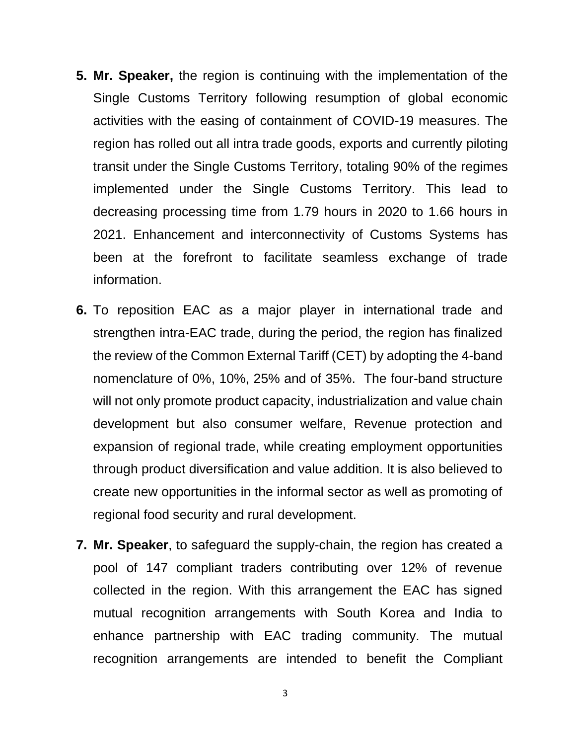- **5. Mr. Speaker,** the region is continuing with the implementation of the Single Customs Territory following resumption of global economic activities with the easing of containment of COVID-19 measures. The region has rolled out all intra trade goods, exports and currently piloting transit under the Single Customs Territory, totaling 90% of the regimes implemented under the Single Customs Territory. This lead to decreasing processing time from 1.79 hours in 2020 to 1.66 hours in 2021. Enhancement and interconnectivity of Customs Systems has been at the forefront to facilitate seamless exchange of trade information.
- **6.** To reposition EAC as a major player in international trade and strengthen intra-EAC trade, during the period, the region has finalized the review of the Common External Tariff (CET) by adopting the 4-band nomenclature of 0%, 10%, 25% and of 35%. The four-band structure will not only promote product capacity, industrialization and value chain development but also consumer welfare, Revenue protection and expansion of regional trade, while creating employment opportunities through product diversification and value addition. It is also believed to create new opportunities in the informal sector as well as promoting of regional food security and rural development.
- **7. Mr. Speaker**, to safeguard the supply-chain, the region has created a pool of 147 compliant traders contributing over 12% of revenue collected in the region. With this arrangement the EAC has signed mutual recognition arrangements with South Korea and India to enhance partnership with EAC trading community. The mutual recognition arrangements are intended to benefit the Compliant

3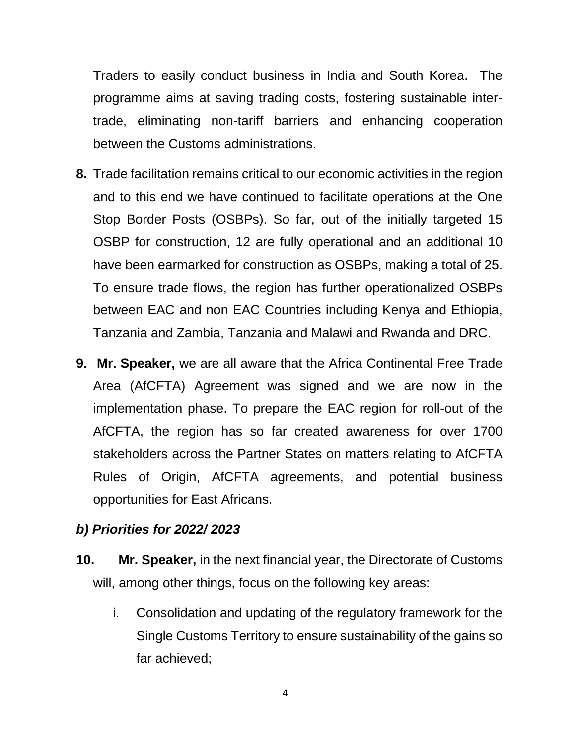Traders to easily conduct business in India and South Korea. The programme aims at saving trading costs, fostering sustainable intertrade, eliminating non-tariff barriers and enhancing cooperation between the Customs administrations.

- **8.** Trade facilitation remains critical to our economic activities in the region and to this end we have continued to facilitate operations at the One Stop Border Posts (OSBPs). So far, out of the initially targeted 15 OSBP for construction, 12 are fully operational and an additional 10 have been earmarked for construction as OSBPs, making a total of 25. To ensure trade flows, the region has further operationalized OSBPs between EAC and non EAC Countries including Kenya and Ethiopia, Tanzania and Zambia, Tanzania and Malawi and Rwanda and DRC.
- **9. Mr. Speaker,** we are all aware that the Africa Continental Free Trade Area (AfCFTA) Agreement was signed and we are now in the implementation phase. To prepare the EAC region for roll-out of the AfCFTA, the region has so far created awareness for over 1700 stakeholders across the Partner States on matters relating to AfCFTA Rules of Origin, AfCFTA agreements, and potential business opportunities for East Africans.

#### *b) Priorities for 2022/ 2023*

- **10. Mr. Speaker,** in the next financial year, the Directorate of Customs will, among other things, focus on the following key areas:
	- i. Consolidation and updating of the regulatory framework for the Single Customs Territory to ensure sustainability of the gains so far achieved;

4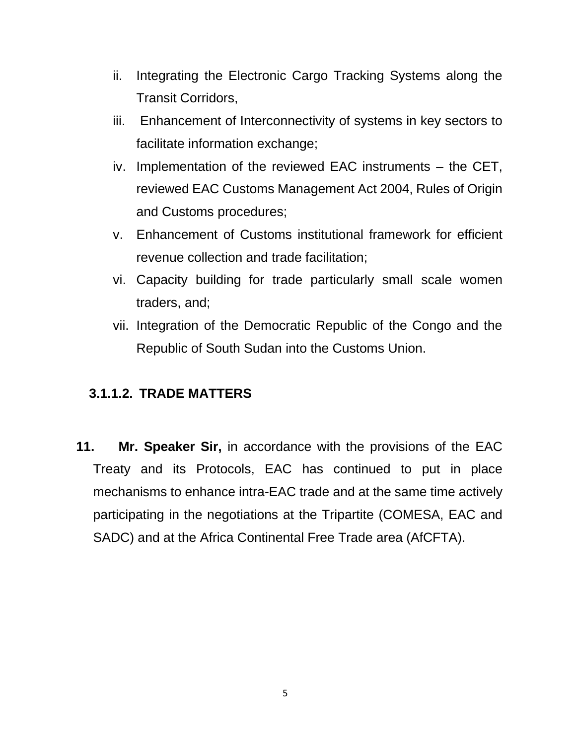- ii. Integrating the Electronic Cargo Tracking Systems along the Transit Corridors,
- iii. Enhancement of Interconnectivity of systems in key sectors to facilitate information exchange;
- iv. Implementation of the reviewed EAC instruments the CET, reviewed EAC Customs Management Act 2004, Rules of Origin and Customs procedures;
- v. Enhancement of Customs institutional framework for efficient revenue collection and trade facilitation;
- vi. Capacity building for trade particularly small scale women traders, and;
- vii. Integration of the Democratic Republic of the Congo and the Republic of South Sudan into the Customs Union.

# **3.1.1.2. TRADE MATTERS**

**11. Mr. Speaker Sir,** in accordance with the provisions of the EAC Treaty and its Protocols, EAC has continued to put in place mechanisms to enhance intra-EAC trade and at the same time actively participating in the negotiations at the Tripartite (COMESA, EAC and SADC) and at the Africa Continental Free Trade area (AfCFTA).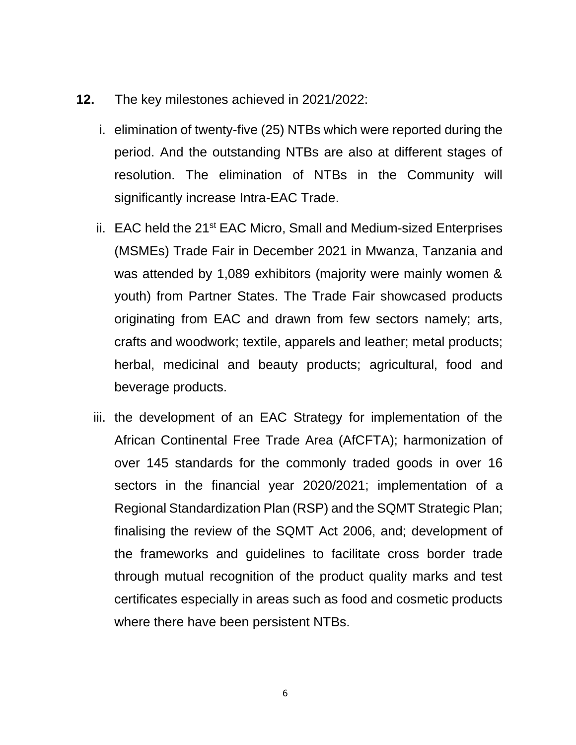- **12.** The key milestones achieved in 2021/2022:
	- i. elimination of twenty-five (25) NTBs which were reported during the period. And the outstanding NTBs are also at different stages of resolution. The elimination of NTBs in the Community will significantly increase Intra-EAC Trade.
	- ii. EAC held the 21<sup>st</sup> EAC Micro, Small and Medium-sized Enterprises (MSMEs) Trade Fair in December 2021 in Mwanza, Tanzania and was attended by 1,089 exhibitors (majority were mainly women & youth) from Partner States. The Trade Fair showcased products originating from EAC and drawn from few sectors namely; arts, crafts and woodwork; textile, apparels and leather; metal products; herbal, medicinal and beauty products; agricultural, food and beverage products.
	- iii. the development of an EAC Strategy for implementation of the African Continental Free Trade Area (AfCFTA); harmonization of over 145 standards for the commonly traded goods in over 16 sectors in the financial year 2020/2021; implementation of a Regional Standardization Plan (RSP) and the SQMT Strategic Plan; finalising the review of the SQMT Act 2006, and; development of the frameworks and guidelines to facilitate cross border trade through mutual recognition of the product quality marks and test certificates especially in areas such as food and cosmetic products where there have been persistent NTBs.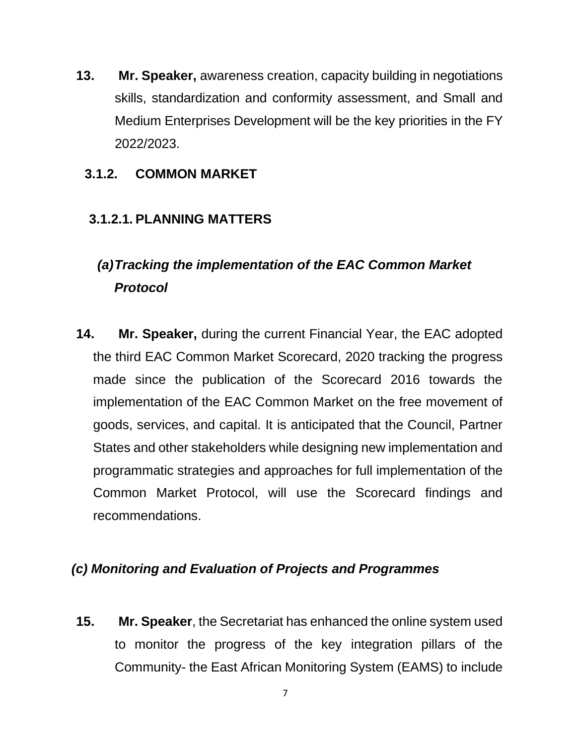**13. Mr. Speaker,** awareness creation, capacity building in negotiations skills, standardization and conformity assessment, and Small and Medium Enterprises Development will be the key priorities in the FY 2022/2023.

# **3.1.2. COMMON MARKET**

# **3.1.2.1. PLANNING MATTERS**

# *(a)Tracking the implementation of the EAC Common Market Protocol*

**14. Mr. Speaker,** during the current Financial Year, the EAC adopted the third EAC Common Market Scorecard, 2020 tracking the progress made since the publication of the Scorecard 2016 towards the implementation of the EAC Common Market on the free movement of goods, services, and capital. It is anticipated that the Council, Partner States and other stakeholders while designing new implementation and programmatic strategies and approaches for full implementation of the Common Market Protocol, will use the Scorecard findings and recommendations.

# *(c) Monitoring and Evaluation of Projects and Programmes*

**15. Mr. Speaker**, the Secretariat has enhanced the online system used to monitor the progress of the key integration pillars of the Community- the East African Monitoring System (EAMS) to include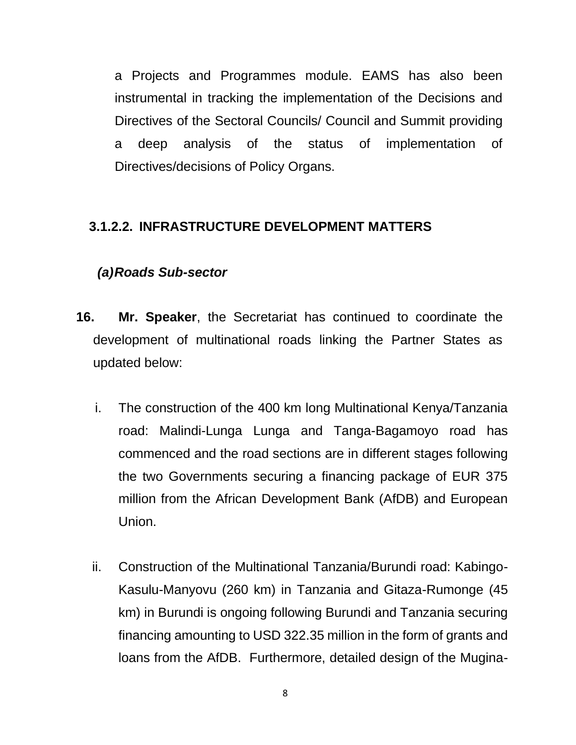a Projects and Programmes module. EAMS has also been instrumental in tracking the implementation of the Decisions and Directives of the Sectoral Councils/ Council and Summit providing a deep analysis of the status of implementation of Directives/decisions of Policy Organs.

# **3.1.2.2. INFRASTRUCTURE DEVELOPMENT MATTERS**

# *(a)Roads Sub-sector*

- **16. Mr. Speaker**, the Secretariat has continued to coordinate the development of multinational roads linking the Partner States as updated below:
	- i. The construction of the 400 km long Multinational Kenya/Tanzania road: Malindi-Lunga Lunga and Tanga-Bagamoyo road has commenced and the road sections are in different stages following the two Governments securing a financing package of EUR 375 million from the African Development Bank (AfDB) and European Union.
	- ii. Construction of the Multinational Tanzania/Burundi road: Kabingo-Kasulu-Manyovu (260 km) in Tanzania and Gitaza-Rumonge (45 km) in Burundi is ongoing following Burundi and Tanzania securing financing amounting to USD 322.35 million in the form of grants and loans from the AfDB. Furthermore, detailed design of the Mugina-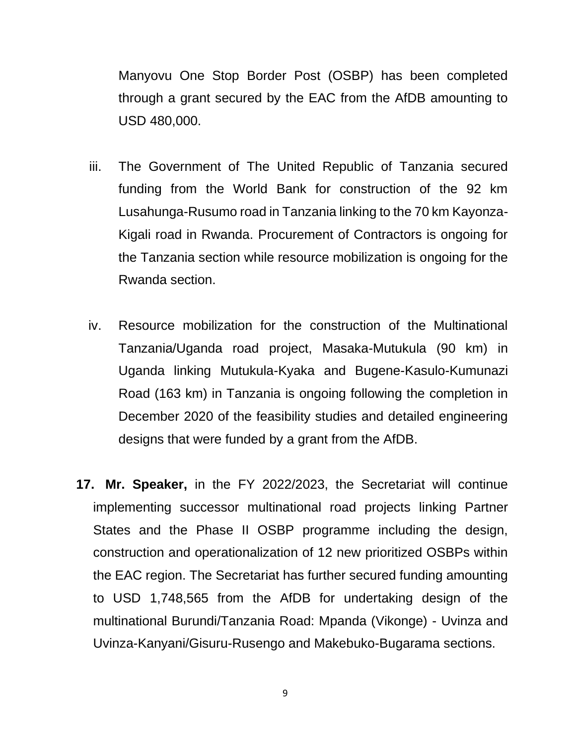Manyovu One Stop Border Post (OSBP) has been completed through a grant secured by the EAC from the AfDB amounting to USD 480,000.

- iii. The Government of The United Republic of Tanzania secured funding from the World Bank for construction of the 92 km Lusahunga-Rusumo road in Tanzania linking to the 70 km Kayonza-Kigali road in Rwanda. Procurement of Contractors is ongoing for the Tanzania section while resource mobilization is ongoing for the Rwanda section.
- iv. Resource mobilization for the construction of the Multinational Tanzania/Uganda road project, Masaka-Mutukula (90 km) in Uganda linking Mutukula-Kyaka and Bugene-Kasulo-Kumunazi Road (163 km) in Tanzania is ongoing following the completion in December 2020 of the feasibility studies and detailed engineering designs that were funded by a grant from the AfDB.
- **17. Mr. Speaker,** in the FY 2022/2023, the Secretariat will continue implementing successor multinational road projects linking Partner States and the Phase II OSBP programme including the design, construction and operationalization of 12 new prioritized OSBPs within the EAC region. The Secretariat has further secured funding amounting to USD 1,748,565 from the AfDB for undertaking design of the multinational Burundi/Tanzania Road: Mpanda (Vikonge) - Uvinza and Uvinza-Kanyani/Gisuru-Rusengo and Makebuko-Bugarama sections.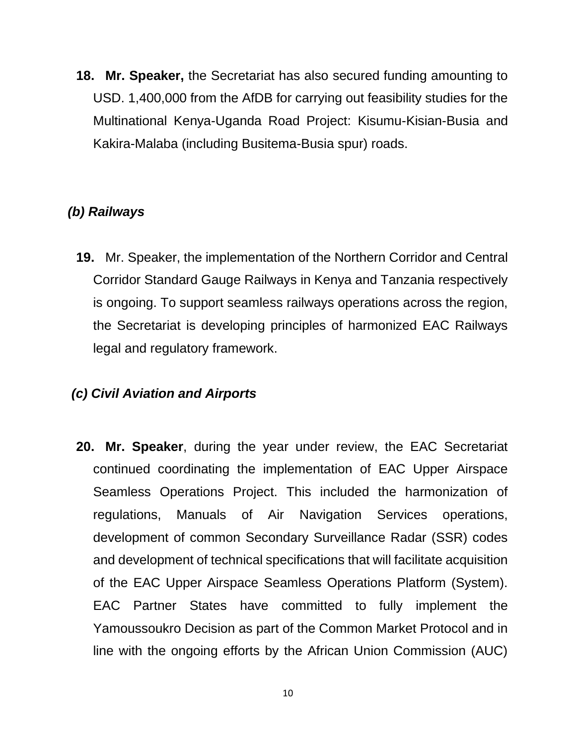**18. Mr. Speaker,** the Secretariat has also secured funding amounting to USD. 1,400,000 from the AfDB for carrying out feasibility studies for the Multinational Kenya-Uganda Road Project: Kisumu-Kisian-Busia and Kakira-Malaba (including Busitema-Busia spur) roads.

# *(b) Railways*

**19.** Mr. Speaker, the implementation of the Northern Corridor and Central Corridor Standard Gauge Railways in Kenya and Tanzania respectively is ongoing. To support seamless railways operations across the region, the Secretariat is developing principles of harmonized EAC Railways legal and regulatory framework.

# *(c) Civil Aviation and Airports*

**20. Mr. Speaker**, during the year under review, the EAC Secretariat continued coordinating the implementation of EAC Upper Airspace Seamless Operations Project. This included the harmonization of regulations, Manuals of Air Navigation Services operations, development of common Secondary Surveillance Radar (SSR) codes and development of technical specifications that will facilitate acquisition of the EAC Upper Airspace Seamless Operations Platform (System). EAC Partner States have committed to fully implement the Yamoussoukro Decision as part of the Common Market Protocol and in line with the ongoing efforts by the African Union Commission (AUC)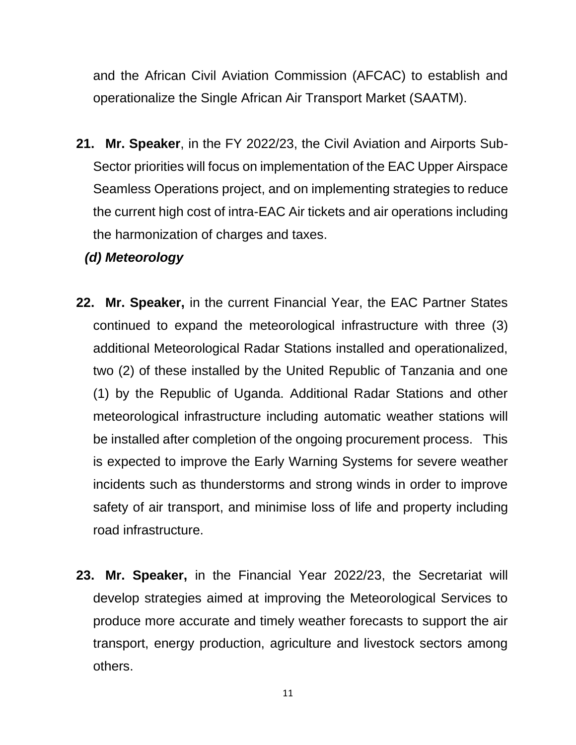and the African Civil Aviation Commission (AFCAC) to establish and operationalize the Single African Air Transport Market (SAATM).

- **21. Mr. Speaker**, in the FY 2022/23, the Civil Aviation and Airports Sub-Sector priorities will focus on implementation of the EAC Upper Airspace Seamless Operations project, and on implementing strategies to reduce the current high cost of intra-EAC Air tickets and air operations including the harmonization of charges and taxes.
	- *(d) Meteorology*
- **22. Mr. Speaker,** in the current Financial Year, the EAC Partner States continued to expand the meteorological infrastructure with three (3) additional Meteorological Radar Stations installed and operationalized, two (2) of these installed by the United Republic of Tanzania and one (1) by the Republic of Uganda. Additional Radar Stations and other meteorological infrastructure including automatic weather stations will be installed after completion of the ongoing procurement process. This is expected to improve the Early Warning Systems for severe weather incidents such as thunderstorms and strong winds in order to improve safety of air transport, and minimise loss of life and property including road infrastructure.
- **23. Mr. Speaker,** in the Financial Year 2022/23, the Secretariat will develop strategies aimed at improving the Meteorological Services to produce more accurate and timely weather forecasts to support the air transport, energy production, agriculture and livestock sectors among others.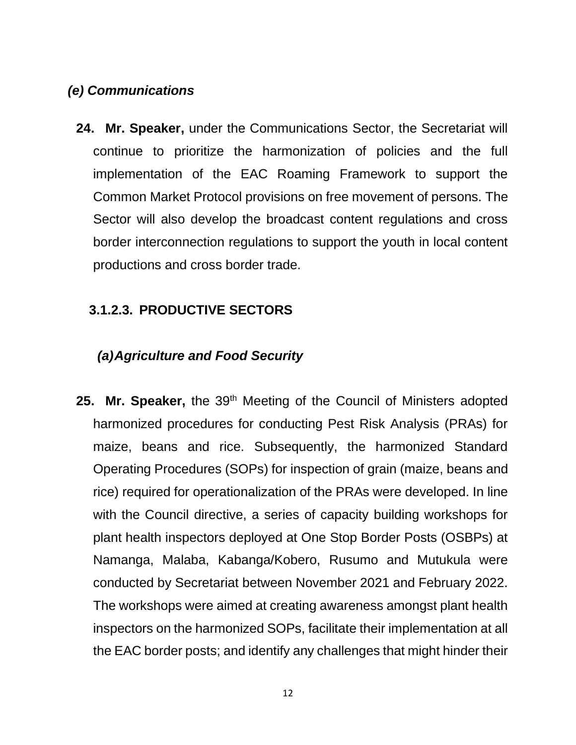# *(e) Communications*

**24. Mr. Speaker,** under the Communications Sector, the Secretariat will continue to prioritize the harmonization of policies and the full implementation of the EAC Roaming Framework to support the Common Market Protocol provisions on free movement of persons. The Sector will also develop the broadcast content regulations and cross border interconnection regulations to support the youth in local content productions and cross border trade.

# **3.1.2.3. PRODUCTIVE SECTORS**

# *(a)Agriculture and Food Security*

25. Mr. Speaker, the 39<sup>th</sup> Meeting of the Council of Ministers adopted harmonized procedures for conducting Pest Risk Analysis (PRAs) for maize, beans and rice. Subsequently, the harmonized Standard Operating Procedures (SOPs) for inspection of grain (maize, beans and rice) required for operationalization of the PRAs were developed. In line with the Council directive, a series of capacity building workshops for plant health inspectors deployed at One Stop Border Posts (OSBPs) at Namanga, Malaba, Kabanga/Kobero, Rusumo and Mutukula were conducted by Secretariat between November 2021 and February 2022. The workshops were aimed at creating awareness amongst plant health inspectors on the harmonized SOPs, facilitate their implementation at all the EAC border posts; and identify any challenges that might hinder their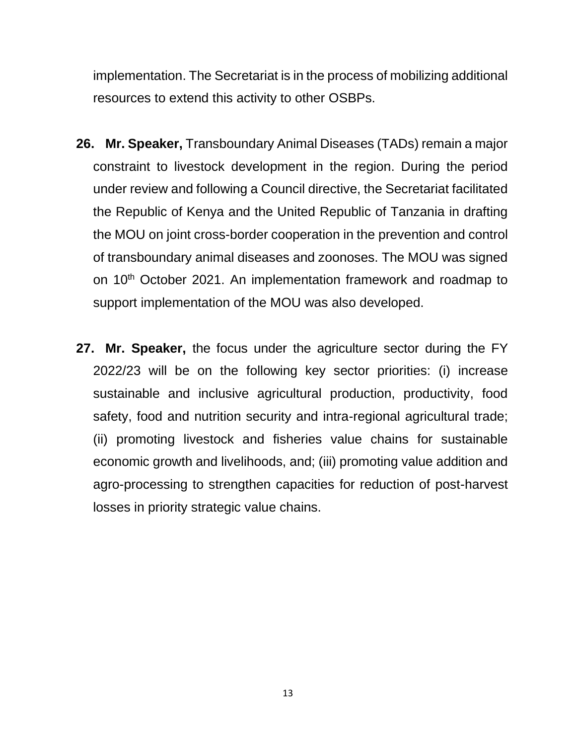implementation. The Secretariat is in the process of mobilizing additional resources to extend this activity to other OSBPs.

- **26. Mr. Speaker,** Transboundary Animal Diseases (TADs) remain a major constraint to livestock development in the region. During the period under review and following a Council directive, the Secretariat facilitated the Republic of Kenya and the United Republic of Tanzania in drafting the MOU on joint cross-border cooperation in the prevention and control of transboundary animal diseases and zoonoses. The MOU was signed on 10<sup>th</sup> October 2021. An implementation framework and roadmap to support implementation of the MOU was also developed.
- **27. Mr. Speaker,** the focus under the agriculture sector during the FY 2022/23 will be on the following key sector priorities: (i) increase sustainable and inclusive agricultural production, productivity, food safety, food and nutrition security and intra-regional agricultural trade; (ii) promoting livestock and fisheries value chains for sustainable economic growth and livelihoods, and; (iii) promoting value addition and agro-processing to strengthen capacities for reduction of post-harvest losses in priority strategic value chains.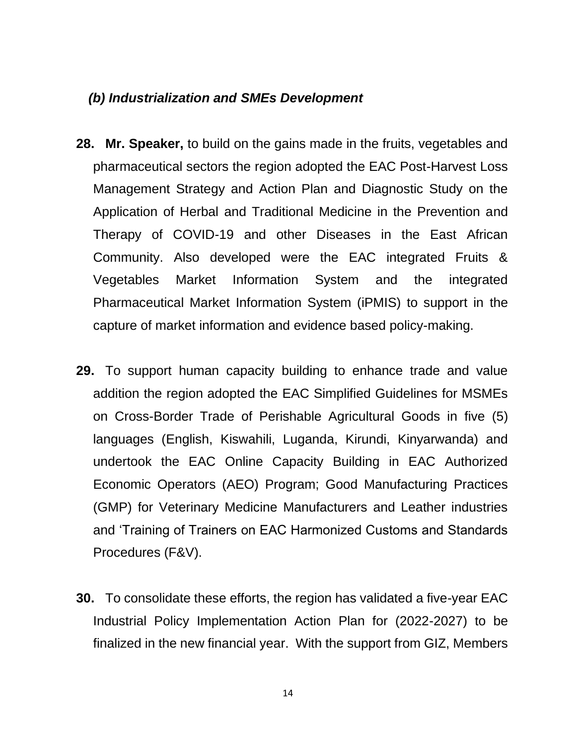#### *(b) Industrialization and SMEs Development*

- **28. Mr. Speaker,** to build on the gains made in the fruits, vegetables and pharmaceutical sectors the region adopted the EAC Post-Harvest Loss Management Strategy and Action Plan and Diagnostic Study on the Application of Herbal and Traditional Medicine in the Prevention and Therapy of COVID-19 and other Diseases in the East African Community. Also developed were the EAC integrated Fruits & Vegetables Market Information System and the integrated Pharmaceutical Market Information System (iPMIS) to support in the capture of market information and evidence based policy-making.
- **29.** To support human capacity building to enhance trade and value addition the region adopted the EAC Simplified Guidelines for MSMEs on Cross-Border Trade of Perishable Agricultural Goods in five (5) languages (English, Kiswahili, Luganda, Kirundi, Kinyarwanda) and undertook the EAC Online Capacity Building in EAC Authorized Economic Operators (AEO) Program; Good Manufacturing Practices (GMP) for Veterinary Medicine Manufacturers and Leather industries and 'Training of Trainers on EAC Harmonized Customs and Standards Procedures (F&V).
- **30.** To consolidate these efforts, the region has validated a five-year EAC Industrial Policy Implementation Action Plan for (2022-2027) to be finalized in the new financial year. With the support from GIZ, Members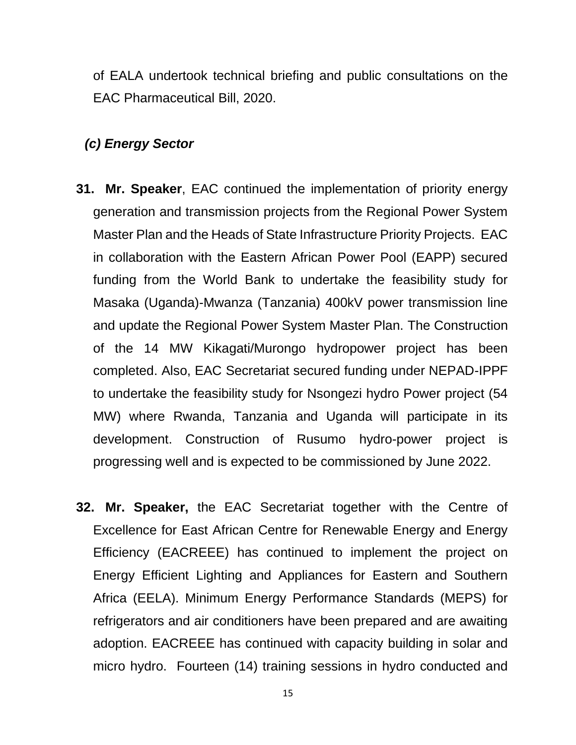of EALA undertook technical briefing and public consultations on the EAC Pharmaceutical Bill, 2020.

#### *(c) Energy Sector*

- **31. Mr. Speaker**, EAC continued the implementation of priority energy generation and transmission projects from the Regional Power System Master Plan and the Heads of State Infrastructure Priority Projects. EAC in collaboration with the Eastern African Power Pool (EAPP) secured funding from the World Bank to undertake the feasibility study for Masaka (Uganda)-Mwanza (Tanzania) 400kV power transmission line and update the Regional Power System Master Plan. The Construction of the 14 MW Kikagati/Murongo hydropower project has been completed. Also, EAC Secretariat secured funding under NEPAD-IPPF to undertake the feasibility study for Nsongezi hydro Power project (54 MW) where Rwanda, Tanzania and Uganda will participate in its development. Construction of Rusumo hydro-power project is progressing well and is expected to be commissioned by June 2022.
- **32. Mr. Speaker,** the EAC Secretariat together with the Centre of Excellence for East African Centre for Renewable Energy and Energy Efficiency (EACREEE) has continued to implement the project on Energy Efficient Lighting and Appliances for Eastern and Southern Africa (EELA). Minimum Energy Performance Standards (MEPS) for refrigerators and air conditioners have been prepared and are awaiting adoption. EACREEE has continued with capacity building in solar and micro hydro. Fourteen (14) training sessions in hydro conducted and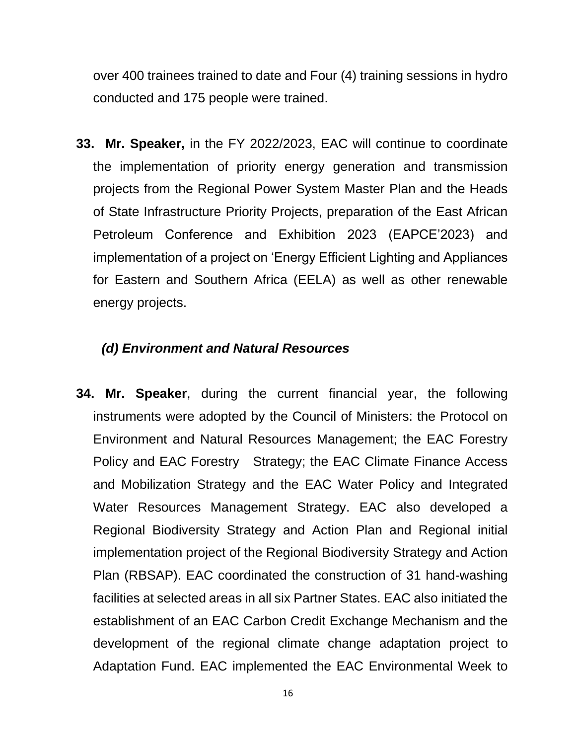over 400 trainees trained to date and Four (4) training sessions in hydro conducted and 175 people were trained.

**33. Mr. Speaker,** in the FY 2022/2023, EAC will continue to coordinate the implementation of priority energy generation and transmission projects from the Regional Power System Master Plan and the Heads of State Infrastructure Priority Projects, preparation of the East African Petroleum Conference and Exhibition 2023 (EAPCE'2023) and implementation of a project on 'Energy Efficient Lighting and Appliances for Eastern and Southern Africa (EELA) as well as other renewable energy projects.

#### *(d) Environment and Natural Resources*

**34. Mr. Speaker**, during the current financial year, the following instruments were adopted by the Council of Ministers: the Protocol on Environment and Natural Resources Management; the EAC Forestry Policy and EAC Forestry Strategy; the EAC Climate Finance Access and Mobilization Strategy and the EAC Water Policy and Integrated Water Resources Management Strategy. EAC also developed a Regional Biodiversity Strategy and Action Plan and Regional initial implementation project of the Regional Biodiversity Strategy and Action Plan (RBSAP). EAC coordinated the construction of 31 hand-washing facilities at selected areas in all six Partner States. EAC also initiated the establishment of an EAC Carbon Credit Exchange Mechanism and the development of the regional climate change adaptation project to Adaptation Fund. EAC implemented the EAC Environmental Week to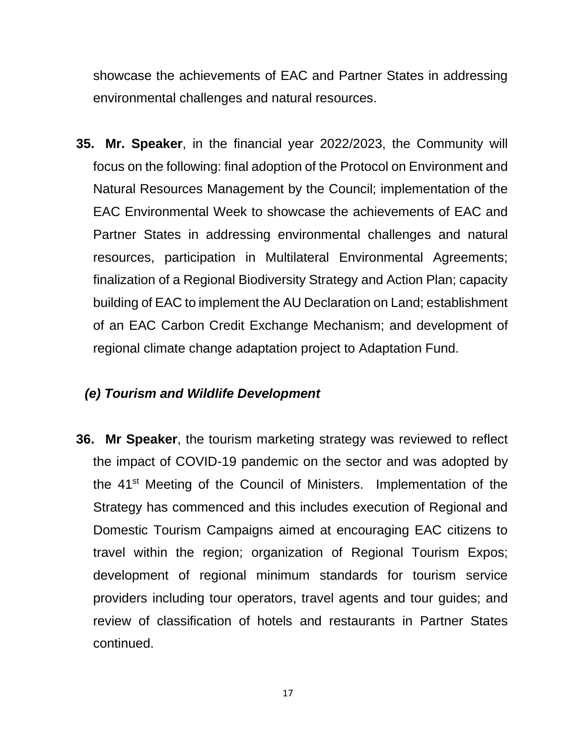showcase the achievements of EAC and Partner States in addressing environmental challenges and natural resources.

**35. Mr. Speaker**, in the financial year 2022/2023, the Community will focus on the following: final adoption of the Protocol on Environment and Natural Resources Management by the Council; implementation of the EAC Environmental Week to showcase the achievements of EAC and Partner States in addressing environmental challenges and natural resources, participation in Multilateral Environmental Agreements; finalization of a Regional Biodiversity Strategy and Action Plan; capacity building of EAC to implement the AU Declaration on Land; establishment of an EAC Carbon Credit Exchange Mechanism; and development of regional climate change adaptation project to Adaptation Fund.

#### *(e) Tourism and Wildlife Development*

**36. Mr Speaker**, the tourism marketing strategy was reviewed to reflect the impact of COVID-19 pandemic on the sector and was adopted by the 41<sup>st</sup> Meeting of the Council of Ministers. Implementation of the Strategy has commenced and this includes execution of Regional and Domestic Tourism Campaigns aimed at encouraging EAC citizens to travel within the region; organization of Regional Tourism Expos; development of regional minimum standards for tourism service providers including tour operators, travel agents and tour guides; and review of classification of hotels and restaurants in Partner States continued.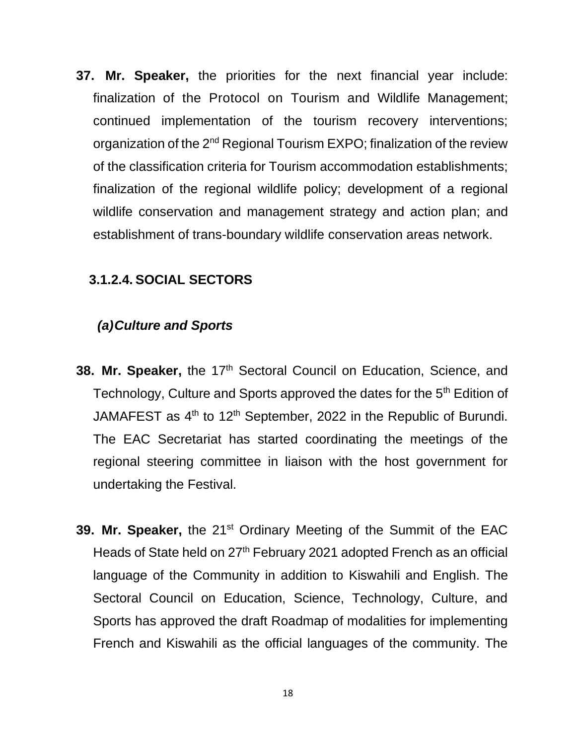**37. Mr. Speaker,** the priorities for the next financial year include: finalization of the Protocol on Tourism and Wildlife Management; continued implementation of the tourism recovery interventions; organization of the 2<sup>nd</sup> Regional Tourism EXPO; finalization of the review of the classification criteria for Tourism accommodation establishments; finalization of the regional wildlife policy; development of a regional wildlife conservation and management strategy and action plan; and establishment of trans-boundary wildlife conservation areas network.

#### **3.1.2.4. SOCIAL SECTORS**

#### *(a)Culture and Sports*

- 38. Mr. Speaker, the 17<sup>th</sup> Sectoral Council on Education, Science, and Technology, Culture and Sports approved the dates for the 5<sup>th</sup> Edition of JAMAFEST as 4<sup>th</sup> to 12<sup>th</sup> September, 2022 in the Republic of Burundi. The EAC Secretariat has started coordinating the meetings of the regional steering committee in liaison with the host government for undertaking the Festival.
- **39. Mr. Speaker,** the 21<sup>st</sup> Ordinary Meeting of the Summit of the EAC Heads of State held on 27<sup>th</sup> February 2021 adopted French as an official language of the Community in addition to Kiswahili and English. The Sectoral Council on Education, Science, Technology, Culture, and Sports has approved the draft Roadmap of modalities for implementing French and Kiswahili as the official languages of the community. The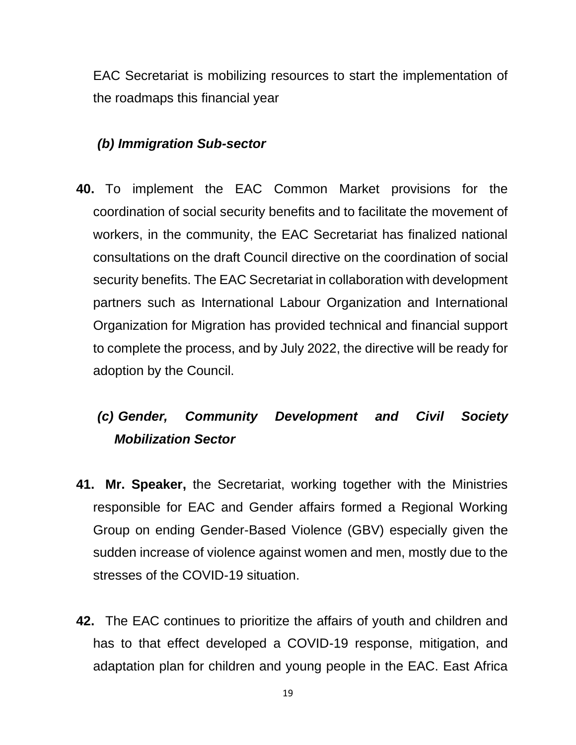EAC Secretariat is mobilizing resources to start the implementation of the roadmaps this financial year

# *(b) Immigration Sub-sector*

**40.** To implement the EAC Common Market provisions for the coordination of social security benefits and to facilitate the movement of workers, in the community, the EAC Secretariat has finalized national consultations on the draft Council directive on the coordination of social security benefits. The EAC Secretariat in collaboration with development partners such as International Labour Organization and International Organization for Migration has provided technical and financial support to complete the process, and by July 2022, the directive will be ready for adoption by the Council.

# *(c) Gender, Community Development and Civil Society Mobilization Sector*

- **41. Mr. Speaker,** the Secretariat, working together with the Ministries responsible for EAC and Gender affairs formed a Regional Working Group on ending Gender-Based Violence (GBV) especially given the sudden increase of violence against women and men, mostly due to the stresses of the COVID-19 situation.
- **42.** The EAC continues to prioritize the affairs of youth and children and has to that effect developed a COVID-19 response, mitigation, and adaptation plan for children and young people in the EAC. East Africa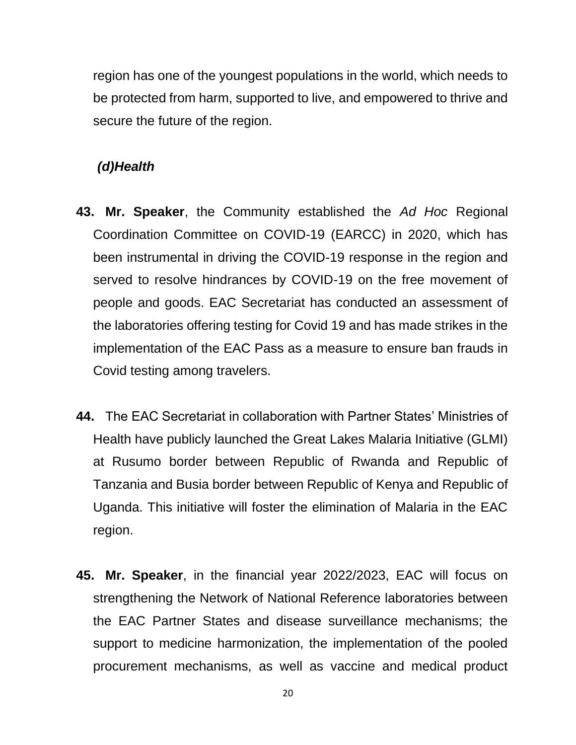region has one of the youngest populations in the world, which needs to be protected from harm, supported to live, and empowered to thrive and secure the future of the region.

#### *(d)Health*

- **43. Mr. Speaker**, the Community established the *Ad Hoc* Regional Coordination Committee on COVID-19 (EARCC) in 2020, which has been instrumental in driving the COVID-19 response in the region and served to resolve hindrances by COVID-19 on the free movement of people and goods. EAC Secretariat has conducted an assessment of the laboratories offering testing for Covid 19 and has made strikes in the implementation of the EAC Pass as a measure to ensure ban frauds in Covid testing among travelers.
- **44.** The EAC Secretariat in collaboration with Partner States' Ministries of Health have publicly launched the Great Lakes Malaria Initiative (GLMI) at Rusumo border between Republic of Rwanda and Republic of Tanzania and Busia border between Republic of Kenya and Republic of Uganda. This initiative will foster the elimination of Malaria in the EAC region.
- **45. Mr. Speaker**, in the financial year 2022/2023, EAC will focus on strengthening the Network of National Reference laboratories between the EAC Partner States and disease surveillance mechanisms; the support to medicine harmonization, the implementation of the pooled procurement mechanisms, as well as vaccine and medical product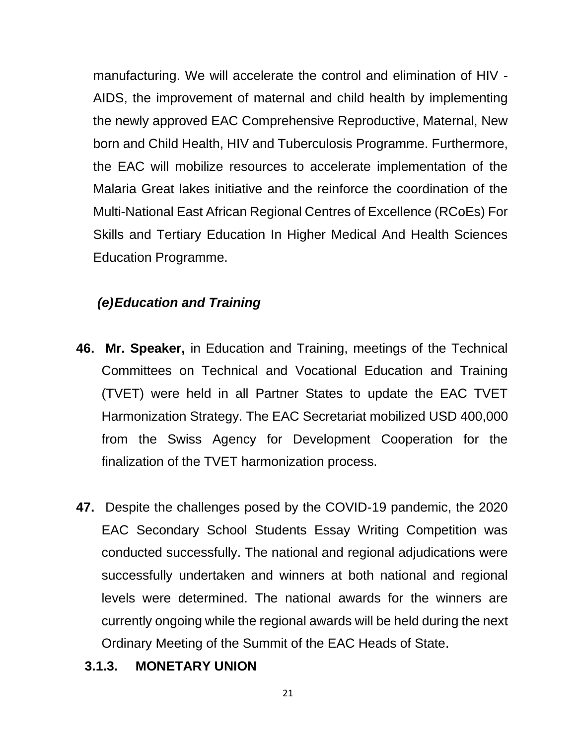manufacturing. We will accelerate the control and elimination of HIV - AIDS, the improvement of maternal and child health by implementing the newly approved EAC Comprehensive Reproductive, Maternal, New born and Child Health, HIV and Tuberculosis Programme. Furthermore, the EAC will mobilize resources to accelerate implementation of the Malaria Great lakes initiative and the reinforce the coordination of the Multi-National East African Regional Centres of Excellence (RCoEs) For Skills and Tertiary Education In Higher Medical And Health Sciences Education Programme.

# *(e)Education and Training*

- **46. Mr. Speaker,** in Education and Training, meetings of the Technical Committees on Technical and Vocational Education and Training (TVET) were held in all Partner States to update the EAC TVET Harmonization Strategy. The EAC Secretariat mobilized USD 400,000 from the Swiss Agency for Development Cooperation for the finalization of the TVET harmonization process.
- **47.** Despite the challenges posed by the COVID-19 pandemic, the 2020 EAC Secondary School Students Essay Writing Competition was conducted successfully. The national and regional adjudications were successfully undertaken and winners at both national and regional levels were determined. The national awards for the winners are currently ongoing while the regional awards will be held during the next Ordinary Meeting of the Summit of the EAC Heads of State.
	- **3.1.3. MONETARY UNION**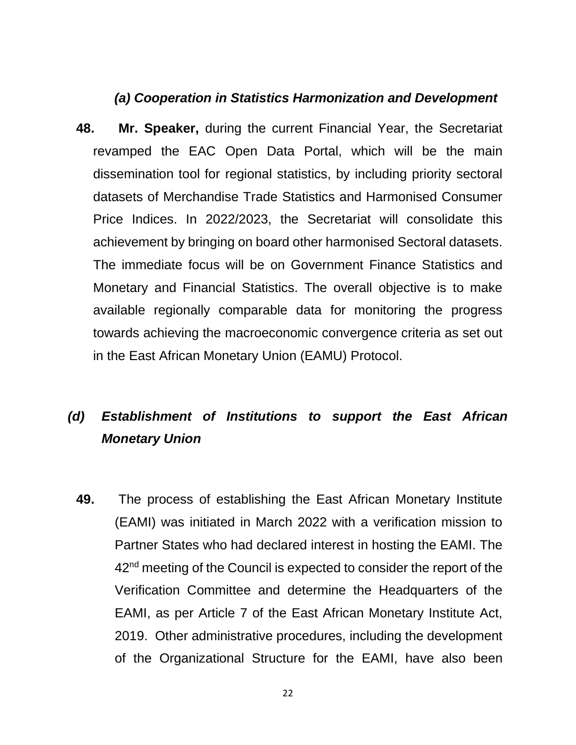#### *(a) Cooperation in Statistics Harmonization and Development*

**48. Mr. Speaker,** during the current Financial Year, the Secretariat revamped the EAC Open Data Portal, which will be the main dissemination tool for regional statistics, by including priority sectoral datasets of Merchandise Trade Statistics and Harmonised Consumer Price Indices. In 2022/2023, the Secretariat will consolidate this achievement by bringing on board other harmonised Sectoral datasets. The immediate focus will be on Government Finance Statistics and Monetary and Financial Statistics. The overall objective is to make available regionally comparable data for monitoring the progress towards achieving the macroeconomic convergence criteria as set out in the East African Monetary Union (EAMU) Protocol.

# *(d) Establishment of Institutions to support the East African Monetary Union*

**49.** The process of establishing the East African Monetary Institute (EAMI) was initiated in March 2022 with a verification mission to Partner States who had declared interest in hosting the EAMI. The 42<sup>nd</sup> meeting of the Council is expected to consider the report of the Verification Committee and determine the Headquarters of the EAMI, as per Article 7 of the East African Monetary Institute Act, 2019. Other administrative procedures, including the development of the Organizational Structure for the EAMI, have also been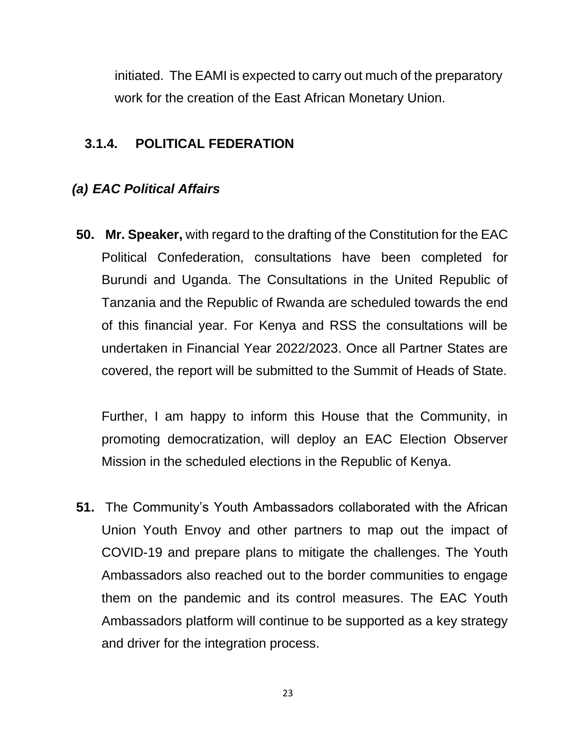initiated. The EAMI is expected to carry out much of the preparatory work for the creation of the East African Monetary Union.

# **3.1.4. POLITICAL FEDERATION**

# *(a) EAC Political Affairs*

**50. Mr. Speaker,** with regard to the drafting of the Constitution for the EAC Political Confederation, consultations have been completed for Burundi and Uganda. The Consultations in the United Republic of Tanzania and the Republic of Rwanda are scheduled towards the end of this financial year. For Kenya and RSS the consultations will be undertaken in Financial Year 2022/2023. Once all Partner States are covered, the report will be submitted to the Summit of Heads of State.

Further, I am happy to inform this House that the Community, in promoting democratization, will deploy an EAC Election Observer Mission in the scheduled elections in the Republic of Kenya.

**51.** The Community's Youth Ambassadors collaborated with the African Union Youth Envoy and other partners to map out the impact of COVID-19 and prepare plans to mitigate the challenges. The Youth Ambassadors also reached out to the border communities to engage them on the pandemic and its control measures. The EAC Youth Ambassadors platform will continue to be supported as a key strategy and driver for the integration process.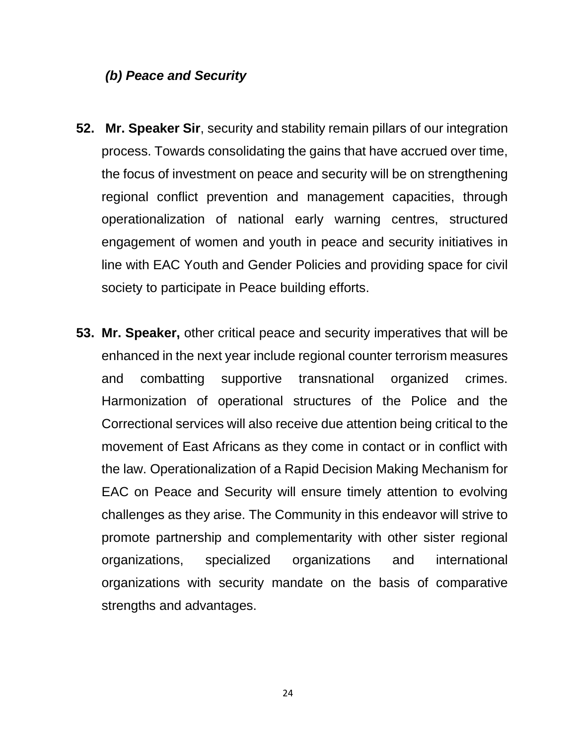#### *(b) Peace and Security*

- **52. Mr. Speaker Sir**, security and stability remain pillars of our integration process. Towards consolidating the gains that have accrued over time, the focus of investment on peace and security will be on strengthening regional conflict prevention and management capacities, through operationalization of national early warning centres, structured engagement of women and youth in peace and security initiatives in line with EAC Youth and Gender Policies and providing space for civil society to participate in Peace building efforts.
- **53. Mr. Speaker,** other critical peace and security imperatives that will be enhanced in the next year include regional counter terrorism measures and combatting supportive transnational organized crimes. Harmonization of operational structures of the Police and the Correctional services will also receive due attention being critical to the movement of East Africans as they come in contact or in conflict with the law. Operationalization of a Rapid Decision Making Mechanism for EAC on Peace and Security will ensure timely attention to evolving challenges as they arise. The Community in this endeavor will strive to promote partnership and complementarity with other sister regional organizations, specialized organizations and international organizations with security mandate on the basis of comparative strengths and advantages.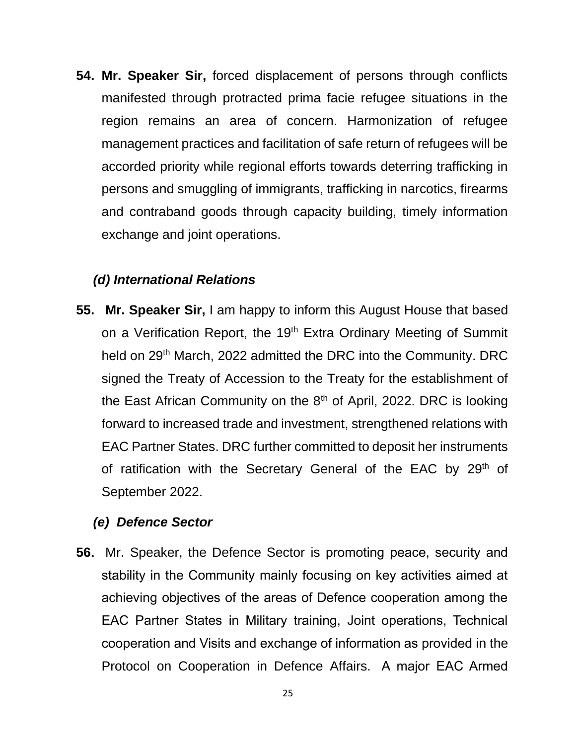**54. Mr. Speaker Sir,** forced displacement of persons through conflicts manifested through protracted prima facie refugee situations in the region remains an area of concern. Harmonization of refugee management practices and facilitation of safe return of refugees will be accorded priority while regional efforts towards deterring trafficking in persons and smuggling of immigrants, trafficking in narcotics, firearms and contraband goods through capacity building, timely information exchange and joint operations.

#### *(d) International Relations*

**55. Mr. Speaker Sir,** I am happy to inform this August House that based on a Verification Report, the 19<sup>th</sup> Extra Ordinary Meeting of Summit held on 29<sup>th</sup> March, 2022 admitted the DRC into the Community. DRC signed the Treaty of Accession to the Treaty for the establishment of the East African Community on the  $8<sup>th</sup>$  of April, 2022. DRC is looking forward to increased trade and investment, strengthened relations with EAC Partner States. DRC further committed to deposit her instruments of ratification with the Secretary General of the EAC by 29<sup>th</sup> of September 2022.

#### *(e) Defence Sector*

**56.** Mr. Speaker, the Defence Sector is promoting peace, security and stability in the Community mainly focusing on key activities aimed at achieving objectives of the areas of Defence cooperation among the EAC Partner States in Military training, Joint operations, Technical cooperation and Visits and exchange of information as provided in the Protocol on Cooperation in Defence Affairs. A major EAC Armed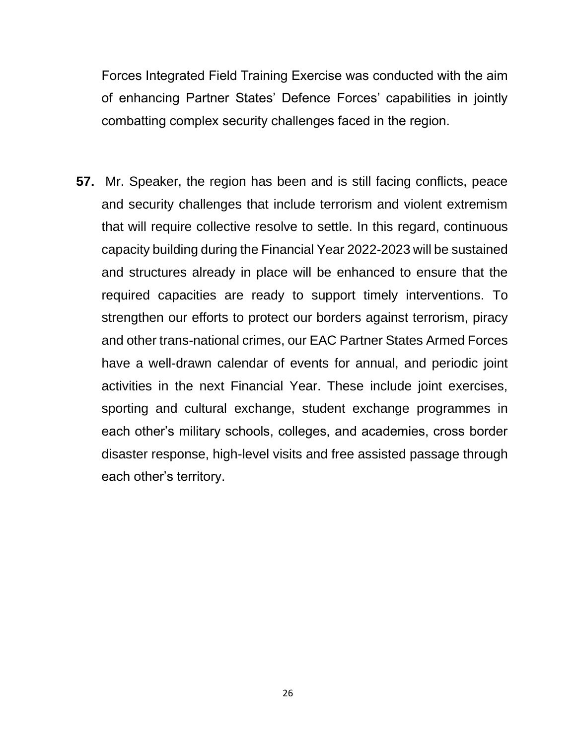Forces Integrated Field Training Exercise was conducted with the aim of enhancing Partner States' Defence Forces' capabilities in jointly combatting complex security challenges faced in the region.

**57.** Mr. Speaker, the region has been and is still facing conflicts, peace and security challenges that include terrorism and violent extremism that will require collective resolve to settle. In this regard, continuous capacity building during the Financial Year 2022-2023 will be sustained and structures already in place will be enhanced to ensure that the required capacities are ready to support timely interventions. To strengthen our efforts to protect our borders against terrorism, piracy and other trans-national crimes, our EAC Partner States Armed Forces have a well-drawn calendar of events for annual, and periodic joint activities in the next Financial Year. These include joint exercises, sporting and cultural exchange, student exchange programmes in each other's military schools, colleges, and academies, cross border disaster response, high-level visits and free assisted passage through each other's territory.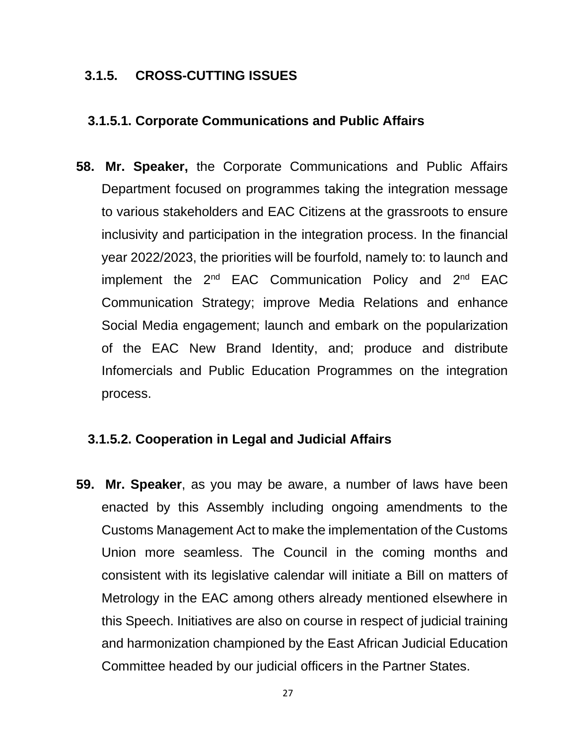#### **3.1.5. CROSS-CUTTING ISSUES**

#### **3.1.5.1. Corporate Communications and Public Affairs**

**58. Mr. Speaker,** the Corporate Communications and Public Affairs Department focused on programmes taking the integration message to various stakeholders and EAC Citizens at the grassroots to ensure inclusivity and participation in the integration process. In the financial year 2022/2023, the priorities will be fourfold, namely to: to launch and implement the 2<sup>nd</sup> EAC Communication Policy and 2<sup>nd</sup> EAC Communication Strategy; improve Media Relations and enhance Social Media engagement; launch and embark on the popularization of the EAC New Brand Identity, and; produce and distribute Infomercials and Public Education Programmes on the integration process.

#### **3.1.5.2. Cooperation in Legal and Judicial Affairs**

**59. Mr. Speaker**, as you may be aware, a number of laws have been enacted by this Assembly including ongoing amendments to the Customs Management Act to make the implementation of the Customs Union more seamless. The Council in the coming months and consistent with its legislative calendar will initiate a Bill on matters of Metrology in the EAC among others already mentioned elsewhere in this Speech. Initiatives are also on course in respect of judicial training and harmonization championed by the East African Judicial Education Committee headed by our judicial officers in the Partner States.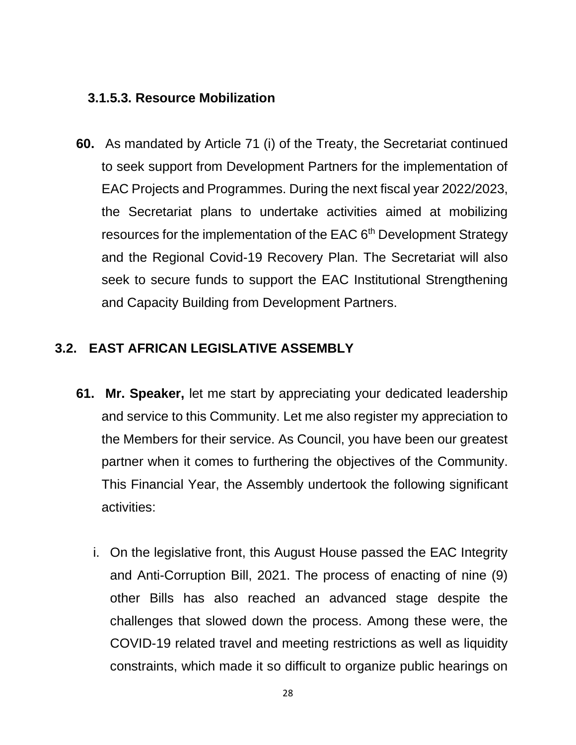#### **3.1.5.3. Resource Mobilization**

**60.** As mandated by Article 71 (i) of the Treaty, the Secretariat continued to seek support from Development Partners for the implementation of EAC Projects and Programmes. During the next fiscal year 2022/2023, the Secretariat plans to undertake activities aimed at mobilizing resources for the implementation of the EAC 6<sup>th</sup> Development Strategy and the Regional Covid-19 Recovery Plan. The Secretariat will also seek to secure funds to support the EAC Institutional Strengthening and Capacity Building from Development Partners.

# **3.2. EAST AFRICAN LEGISLATIVE ASSEMBLY**

- **61. Mr. Speaker,** let me start by appreciating your dedicated leadership and service to this Community. Let me also register my appreciation to the Members for their service. As Council, you have been our greatest partner when it comes to furthering the objectives of the Community. This Financial Year, the Assembly undertook the following significant activities:
	- i. On the legislative front, this August House passed the EAC Integrity and Anti-Corruption Bill, 2021. The process of enacting of nine (9) other Bills has also reached an advanced stage despite the challenges that slowed down the process. Among these were, the COVID-19 related travel and meeting restrictions as well as liquidity constraints, which made it so difficult to organize public hearings on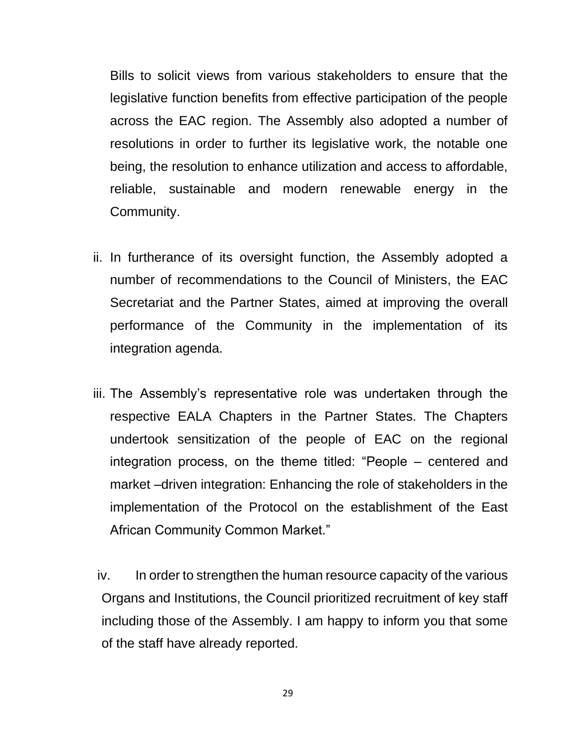Bills to solicit views from various stakeholders to ensure that the legislative function benefits from effective participation of the people across the EAC region. The Assembly also adopted a number of resolutions in order to further its legislative work, the notable one being, the resolution to enhance utilization and access to affordable, reliable, sustainable and modern renewable energy in the Community.

- ii. In furtherance of its oversight function, the Assembly adopted a number of recommendations to the Council of Ministers, the EAC Secretariat and the Partner States, aimed at improving the overall performance of the Community in the implementation of its integration agenda.
- iii. The Assembly's representative role was undertaken through the respective EALA Chapters in the Partner States. The Chapters undertook sensitization of the people of EAC on the regional integration process, on the theme titled: "People – centered and market –driven integration: Enhancing the role of stakeholders in the implementation of the Protocol on the establishment of the East African Community Common Market."

iv. In order to strengthen the human resource capacity of the various Organs and Institutions, the Council prioritized recruitment of key staff including those of the Assembly. I am happy to inform you that some of the staff have already reported.

29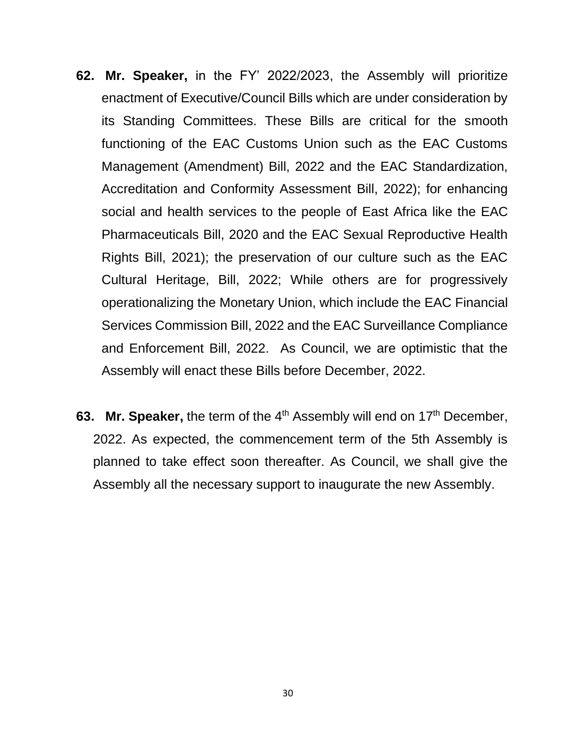- **62. Mr. Speaker,** in the FY' 2022/2023, the Assembly will prioritize enactment of Executive/Council Bills which are under consideration by its Standing Committees. These Bills are critical for the smooth functioning of the EAC Customs Union such as the EAC Customs Management (Amendment) Bill, 2022 and the EAC Standardization, Accreditation and Conformity Assessment Bill, 2022); for enhancing social and health services to the people of East Africa like the EAC Pharmaceuticals Bill, 2020 and the EAC Sexual Reproductive Health Rights Bill, 2021); the preservation of our culture such as the EAC Cultural Heritage, Bill, 2022; While others are for progressively operationalizing the Monetary Union, which include the EAC Financial Services Commission Bill, 2022 and the EAC Surveillance Compliance and Enforcement Bill, 2022. As Council, we are optimistic that the Assembly will enact these Bills before December, 2022.
- **63. Mr. Speaker,** the term of the 4<sup>th</sup> Assembly will end on 17<sup>th</sup> December, 2022. As expected, the commencement term of the 5th Assembly is planned to take effect soon thereafter. As Council, we shall give the Assembly all the necessary support to inaugurate the new Assembly.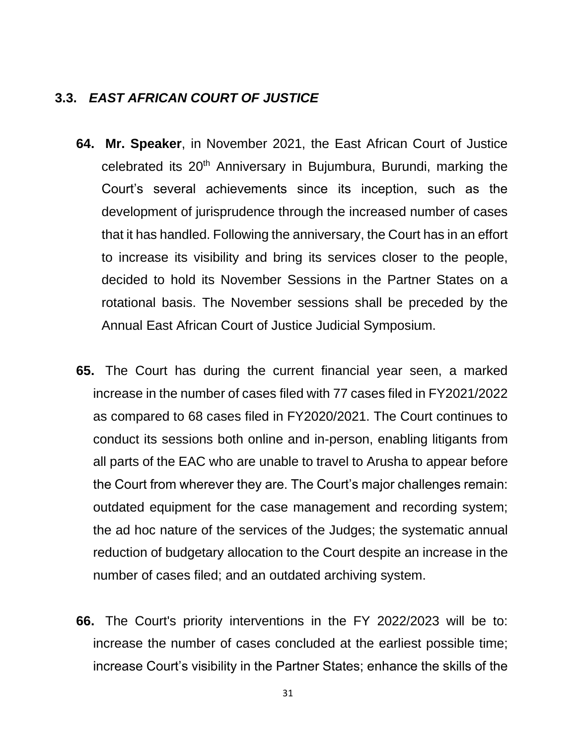#### **3.3.** *EAST AFRICAN COURT OF JUSTICE*

- **64. Mr. Speaker**, in November 2021, the East African Court of Justice celebrated its 20<sup>th</sup> Anniversary in Bujumbura, Burundi, marking the Court's several achievements since its inception, such as the development of jurisprudence through the increased number of cases that it has handled. Following the anniversary, the Court has in an effort to increase its visibility and bring its services closer to the people, decided to hold its November Sessions in the Partner States on a rotational basis. The November sessions shall be preceded by the Annual East African Court of Justice Judicial Symposium.
- **65.** The Court has during the current financial year seen, a marked increase in the number of cases filed with 77 cases filed in FY2021/2022 as compared to 68 cases filed in FY2020/2021. The Court continues to conduct its sessions both online and in-person, enabling litigants from all parts of the EAC who are unable to travel to Arusha to appear before the Court from wherever they are. The Court's major challenges remain: outdated equipment for the case management and recording system; the ad hoc nature of the services of the Judges; the systematic annual reduction of budgetary allocation to the Court despite an increase in the number of cases filed; and an outdated archiving system.
- **66.** The Court's priority interventions in the FY 2022/2023 will be to: increase the number of cases concluded at the earliest possible time; increase Court's visibility in the Partner States; enhance the skills of the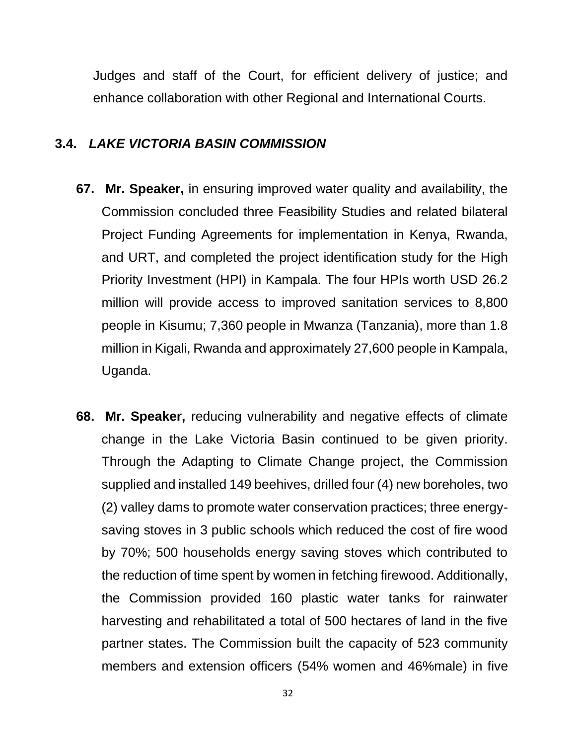Judges and staff of the Court, for efficient delivery of justice; and enhance collaboration with other Regional and International Courts.

#### **3.4.** *LAKE VICTORIA BASIN COMMISSION*

- **67. Mr. Speaker,** in ensuring improved water quality and availability, the Commission concluded three Feasibility Studies and related bilateral Project Funding Agreements for implementation in Kenya, Rwanda, and URT, and completed the project identification study for the High Priority Investment (HPI) in Kampala. The four HPIs worth USD 26.2 million will provide access to improved sanitation services to 8,800 people in Kisumu; 7,360 people in Mwanza (Tanzania), more than 1.8 million in Kigali, Rwanda and approximately 27,600 people in Kampala, Uganda.
- **68. Mr. Speaker,** reducing vulnerability and negative effects of climate change in the Lake Victoria Basin continued to be given priority. Through the Adapting to Climate Change project, the Commission supplied and installed 149 beehives, drilled four (4) new boreholes, two (2) valley dams to promote water conservation practices; three energysaving stoves in 3 public schools which reduced the cost of fire wood by 70%; 500 households energy saving stoves which contributed to the reduction of time spent by women in fetching firewood. Additionally, the Commission provided 160 plastic water tanks for rainwater harvesting and rehabilitated a total of 500 hectares of land in the five partner states. The Commission built the capacity of 523 community members and extension officers (54% women and 46%male) in five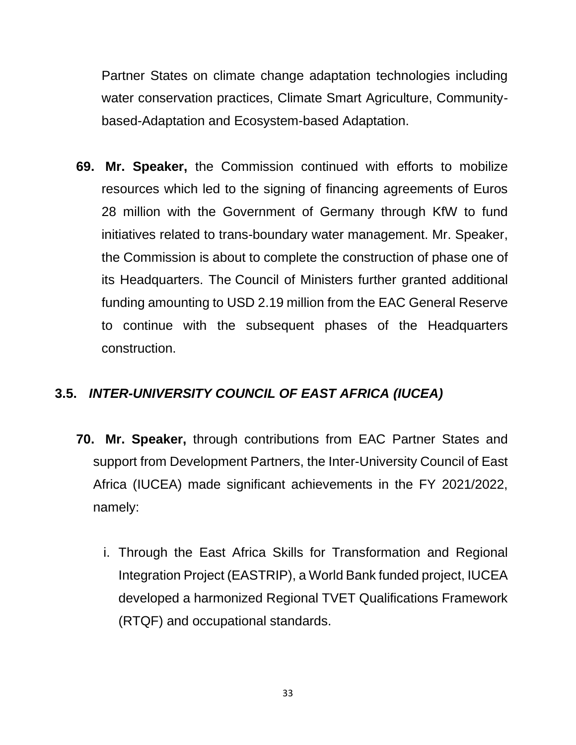Partner States on climate change adaptation technologies including water conservation practices, Climate Smart Agriculture, Communitybased-Adaptation and Ecosystem-based Adaptation.

**69. Mr. Speaker,** the Commission continued with efforts to mobilize resources which led to the signing of financing agreements of Euros 28 million with the Government of Germany through KfW to fund initiatives related to trans-boundary water management. Mr. Speaker, the Commission is about to complete the construction of phase one of its Headquarters. The Council of Ministers further granted additional funding amounting to USD 2.19 million from the EAC General Reserve to continue with the subsequent phases of the Headquarters construction.

# **3.5.** *INTER-UNIVERSITY COUNCIL OF EAST AFRICA (IUCEA)*

- **70. Mr. Speaker,** through contributions from EAC Partner States and support from Development Partners, the Inter-University Council of East Africa (IUCEA) made significant achievements in the FY 2021/2022, namely:
	- i. Through the East Africa Skills for Transformation and Regional Integration Project (EASTRIP), a World Bank funded project, IUCEA developed a harmonized Regional TVET Qualifications Framework (RTQF) and occupational standards.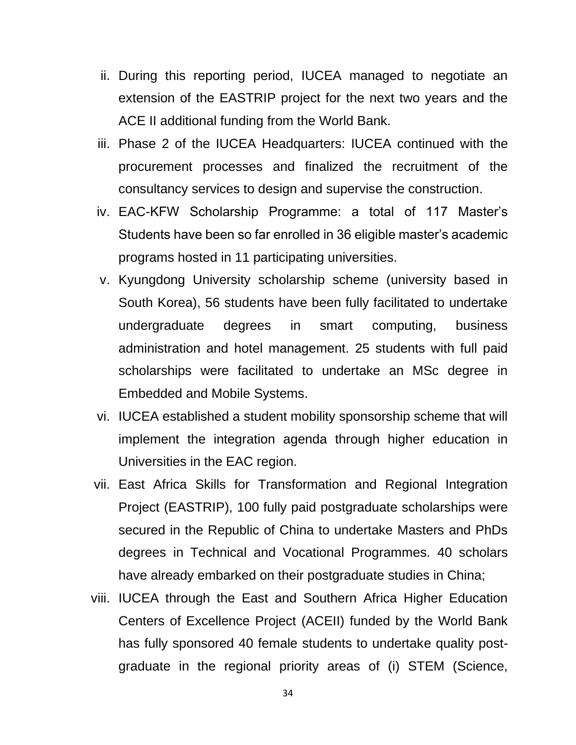- ii. During this reporting period, IUCEA managed to negotiate an extension of the EASTRIP project for the next two years and the ACE II additional funding from the World Bank.
- iii. Phase 2 of the IUCEA Headquarters: IUCEA continued with the procurement processes and finalized the recruitment of the consultancy services to design and supervise the construction.
- iv. EAC-KFW Scholarship Programme: a total of 117 Master's Students have been so far enrolled in 36 eligible master's academic programs hosted in 11 participating universities.
- v. Kyungdong University scholarship scheme (university based in South Korea), 56 students have been fully facilitated to undertake undergraduate degrees in smart computing, business administration and hotel management. 25 students with full paid scholarships were facilitated to undertake an MSc degree in Embedded and Mobile Systems.
- vi. IUCEA established a student mobility sponsorship scheme that will implement the integration agenda through higher education in Universities in the EAC region.
- vii. East Africa Skills for Transformation and Regional Integration Project (EASTRIP), 100 fully paid postgraduate scholarships were secured in the Republic of China to undertake Masters and PhDs degrees in Technical and Vocational Programmes. 40 scholars have already embarked on their postgraduate studies in China;
- viii. IUCEA through the East and Southern Africa Higher Education Centers of Excellence Project (ACEII) funded by the World Bank has fully sponsored 40 female students to undertake quality postgraduate in the regional priority areas of (i) STEM (Science,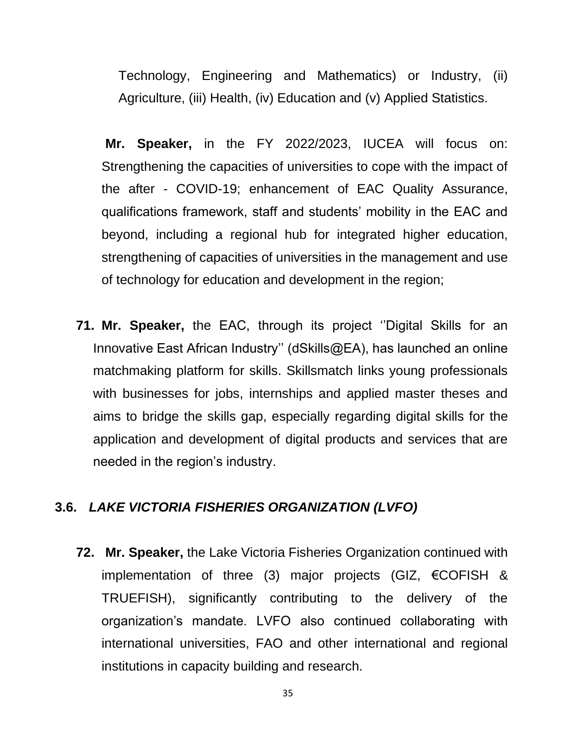Technology, Engineering and Mathematics) or Industry, (ii) Agriculture, (iii) Health, (iv) Education and (v) Applied Statistics.

**Mr. Speaker,** in the FY 2022/2023, IUCEA will focus on: Strengthening the capacities of universities to cope with the impact of the after - COVID-19; enhancement of EAC Quality Assurance, qualifications framework, staff and students' mobility in the EAC and beyond, including a regional hub for integrated higher education, strengthening of capacities of universities in the management and use of technology for education and development in the region;

**71. Mr. Speaker,** the EAC, through its project ''Digital Skills for an Innovative East African Industry'' (dSkills@EA), has launched an online matchmaking platform for skills. Skillsmatch links young professionals with businesses for jobs, internships and applied master theses and aims to bridge the skills gap, especially regarding digital skills for the application and development of digital products and services that are needed in the region's industry.

# **3.6.** *LAKE VICTORIA FISHERIES ORGANIZATION (LVFO)*

**72. Mr. Speaker,** the Lake Victoria Fisheries Organization continued with implementation of three (3) major projects (GIZ, €COFISH & TRUEFISH), significantly contributing to the delivery of the organization's mandate. LVFO also continued collaborating with international universities, FAO and other international and regional institutions in capacity building and research.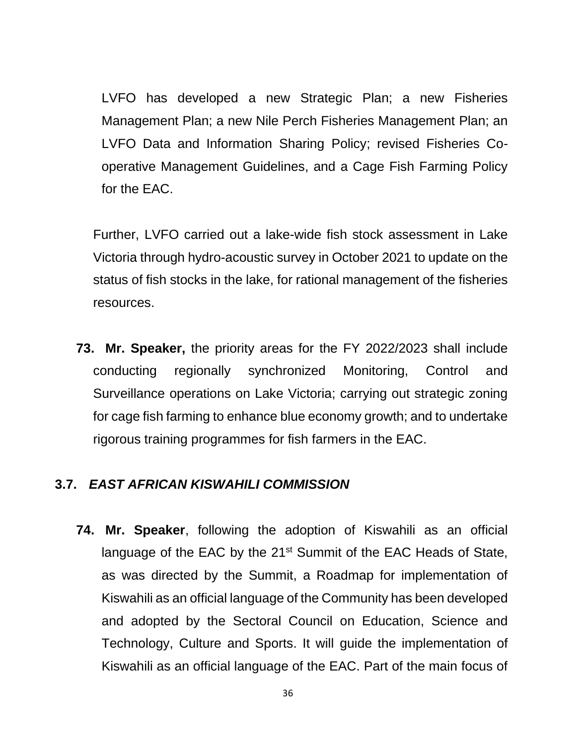LVFO has developed a new Strategic Plan; a new Fisheries Management Plan; a new Nile Perch Fisheries Management Plan; an LVFO Data and Information Sharing Policy; revised Fisheries Cooperative Management Guidelines, and a Cage Fish Farming Policy for the EAC.

Further, LVFO carried out a lake-wide fish stock assessment in Lake Victoria through hydro-acoustic survey in October 2021 to update on the status of fish stocks in the lake, for rational management of the fisheries resources.

**73. Mr. Speaker,** the priority areas for the FY 2022/2023 shall include conducting regionally synchronized Monitoring, Control and Surveillance operations on Lake Victoria; carrying out strategic zoning for cage fish farming to enhance blue economy growth; and to undertake rigorous training programmes for fish farmers in the EAC.

#### **3.7.** *EAST AFRICAN KISWAHILI COMMISSION*

**74. Mr. Speaker**, following the adoption of Kiswahili as an official language of the EAC by the 21<sup>st</sup> Summit of the EAC Heads of State, as was directed by the Summit, a Roadmap for implementation of Kiswahili as an official language of the Community has been developed and adopted by the Sectoral Council on Education, Science and Technology, Culture and Sports. It will guide the implementation of Kiswahili as an official language of the EAC. Part of the main focus of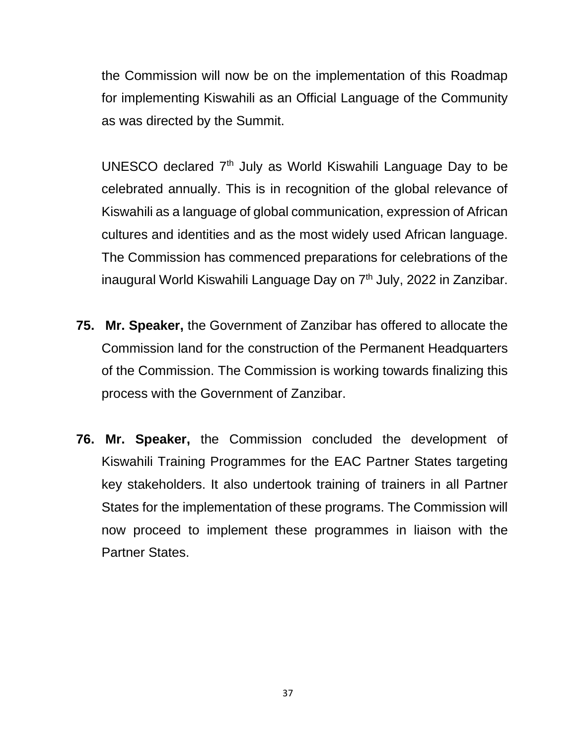the Commission will now be on the implementation of this Roadmap for implementing Kiswahili as an Official Language of the Community as was directed by the Summit.

UNESCO declared 7th July as World Kiswahili Language Day to be celebrated annually. This is in recognition of the global relevance of Kiswahili as a language of global communication, expression of African cultures and identities and as the most widely used African language. The Commission has commenced preparations for celebrations of the inaugural World Kiswahili Language Day on 7<sup>th</sup> July, 2022 in Zanzibar.

- **75. Mr. Speaker,** the Government of Zanzibar has offered to allocate the Commission land for the construction of the Permanent Headquarters of the Commission. The Commission is working towards finalizing this process with the Government of Zanzibar.
- **76. Mr. Speaker,** the Commission concluded the development of Kiswahili Training Programmes for the EAC Partner States targeting key stakeholders. It also undertook training of trainers in all Partner States for the implementation of these programs. The Commission will now proceed to implement these programmes in liaison with the Partner States.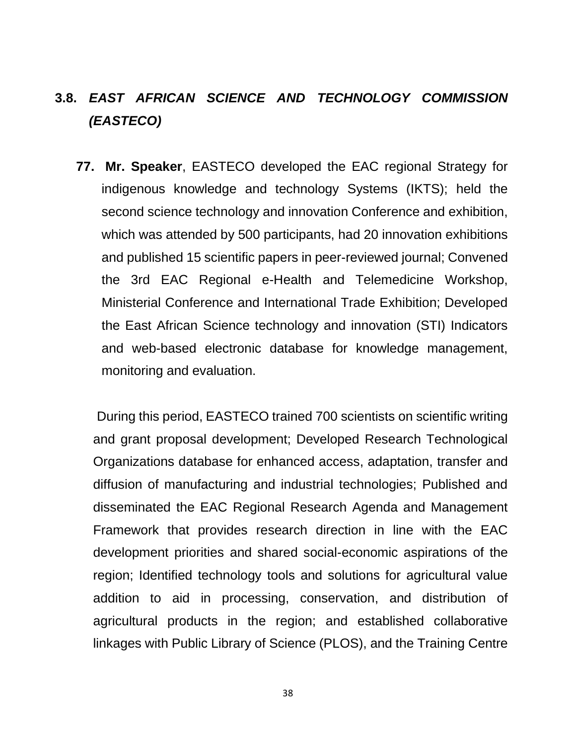# **3.8.** *EAST AFRICAN SCIENCE AND TECHNOLOGY COMMISSION (EASTECO)*

**77. Mr. Speaker**, EASTECO developed the EAC regional Strategy for indigenous knowledge and technology Systems (IKTS); held the second science technology and innovation Conference and exhibition, which was attended by 500 participants, had 20 innovation exhibitions and published 15 scientific papers in peer-reviewed journal; Convened the 3rd EAC Regional e-Health and Telemedicine Workshop, Ministerial Conference and International Trade Exhibition; Developed the East African Science technology and innovation (STI) Indicators and web-based electronic database for knowledge management, monitoring and evaluation.

During this period, EASTECO trained 700 scientists on scientific writing and grant proposal development; Developed Research Technological Organizations database for enhanced access, adaptation, transfer and diffusion of manufacturing and industrial technologies; Published and disseminated the EAC Regional Research Agenda and Management Framework that provides research direction in line with the EAC development priorities and shared social-economic aspirations of the region; Identified technology tools and solutions for agricultural value addition to aid in processing, conservation, and distribution of agricultural products in the region; and established collaborative linkages with Public Library of Science (PLOS), and the Training Centre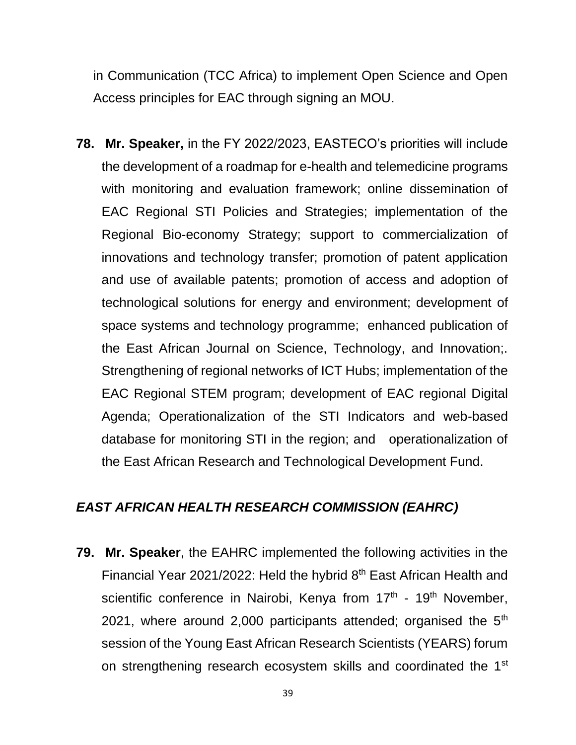in Communication (TCC Africa) to implement Open Science and Open Access principles for EAC through signing an MOU.

**78. Mr. Speaker,** in the FY 2022/2023, EASTECO's priorities will include the development of a roadmap for e-health and telemedicine programs with monitoring and evaluation framework; online dissemination of EAC Regional STI Policies and Strategies; implementation of the Regional Bio-economy Strategy; support to commercialization of innovations and technology transfer; promotion of patent application and use of available patents; promotion of access and adoption of technological solutions for energy and environment; development of space systems and technology programme; enhanced publication of the East African Journal on Science, Technology, and Innovation;. Strengthening of regional networks of ICT Hubs; implementation of the EAC Regional STEM program; development of EAC regional Digital Agenda; Operationalization of the STI Indicators and web-based database for monitoring STI in the region; and operationalization of the East African Research and Technological Development Fund.

# *EAST AFRICAN HEALTH RESEARCH COMMISSION (EAHRC)*

**79. Mr. Speaker**, the EAHRC implemented the following activities in the Financial Year 2021/2022: Held the hybrid 8<sup>th</sup> East African Health and scientific conference in Nairobi, Kenya from 17<sup>th</sup> - 19<sup>th</sup> November, 2021, where around 2,000 participants attended; organised the  $5<sup>th</sup>$ session of the Young East African Research Scientists (YEARS) forum on strengthening research ecosystem skills and coordinated the 1st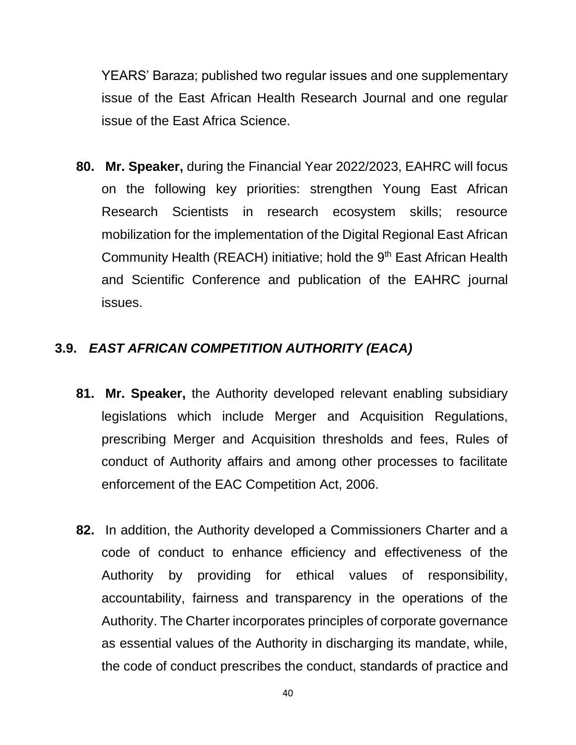YEARS' Baraza; published two regular issues and one supplementary issue of the East African Health Research Journal and one regular issue of the East Africa Science.

**80. Mr. Speaker,** during the Financial Year 2022/2023, EAHRC will focus on the following key priorities: strengthen Young East African Research Scientists in research ecosystem skills; resource mobilization for the implementation of the Digital Regional East African Community Health (REACH) initiative; hold the 9<sup>th</sup> East African Health and Scientific Conference and publication of the EAHRC journal issues.

# **3.9.** *EAST AFRICAN COMPETITION AUTHORITY (EACA)*

- **81. Mr. Speaker,** the Authority developed relevant enabling subsidiary legislations which include Merger and Acquisition Regulations, prescribing Merger and Acquisition thresholds and fees, Rules of conduct of Authority affairs and among other processes to facilitate enforcement of the EAC Competition Act, 2006.
- **82.** In addition, the Authority developed a Commissioners Charter and a code of conduct to enhance efficiency and effectiveness of the Authority by providing for ethical values of responsibility, accountability, fairness and transparency in the operations of the Authority. The Charter incorporates principles of corporate governance as essential values of the Authority in discharging its mandate, while, the code of conduct prescribes the conduct, standards of practice and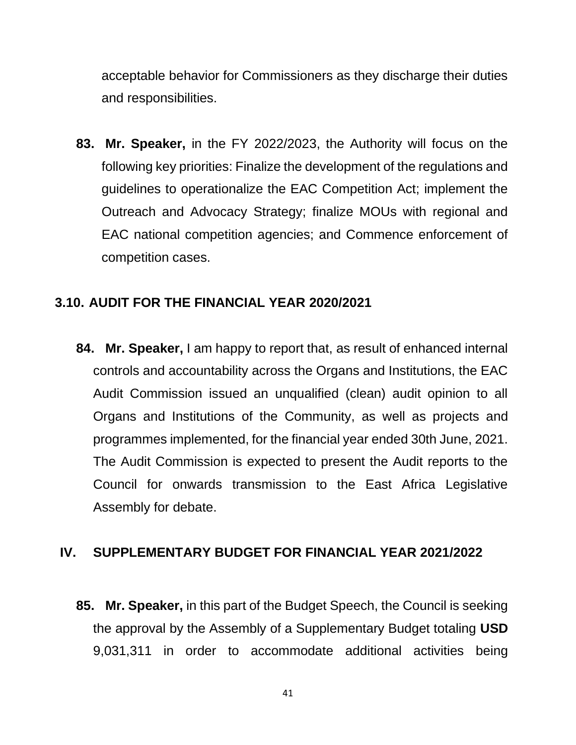acceptable behavior for Commissioners as they discharge their duties and responsibilities.

**83. Mr. Speaker,** in the FY 2022/2023, the Authority will focus on the following key priorities: Finalize the development of the regulations and guidelines to operationalize the EAC Competition Act; implement the Outreach and Advocacy Strategy; finalize MOUs with regional and EAC national competition agencies; and Commence enforcement of competition cases.

# **3.10. AUDIT FOR THE FINANCIAL YEAR 2020/2021**

**84. Mr. Speaker,** I am happy to report that, as result of enhanced internal controls and accountability across the Organs and Institutions, the EAC Audit Commission issued an unqualified (clean) audit opinion to all Organs and Institutions of the Community, as well as projects and programmes implemented, for the financial year ended 30th June, 2021. The Audit Commission is expected to present the Audit reports to the Council for onwards transmission to the East Africa Legislative Assembly for debate.

# **IV. SUPPLEMENTARY BUDGET FOR FINANCIAL YEAR 2021/2022**

**85. Mr. Speaker,** in this part of the Budget Speech, the Council is seeking the approval by the Assembly of a Supplementary Budget totaling **USD**  9,031,311 in order to accommodate additional activities being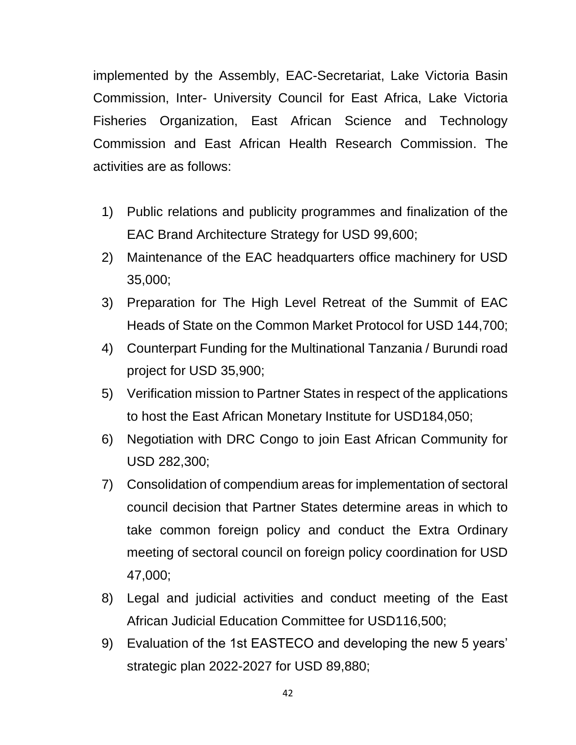implemented by the Assembly, EAC-Secretariat, Lake Victoria Basin Commission, Inter- University Council for East Africa, Lake Victoria Fisheries Organization, East African Science and Technology Commission and East African Health Research Commission. The activities are as follows:

- 1) Public relations and publicity programmes and finalization of the EAC Brand Architecture Strategy for USD 99,600;
- 2) Maintenance of the EAC headquarters office machinery for USD 35,000;
- 3) Preparation for The High Level Retreat of the Summit of EAC Heads of State on the Common Market Protocol for USD 144,700;
- 4) Counterpart Funding for the Multinational Tanzania / Burundi road project for USD 35,900;
- 5) Verification mission to Partner States in respect of the applications to host the East African Monetary Institute for USD184,050;
- 6) Negotiation with DRC Congo to join East African Community for USD 282,300;
- 7) Consolidation of compendium areas for implementation of sectoral council decision that Partner States determine areas in which to take common foreign policy and conduct the Extra Ordinary meeting of sectoral council on foreign policy coordination for USD 47,000;
- 8) Legal and judicial activities and conduct meeting of the East African Judicial Education Committee for USD116,500;
- 9) Evaluation of the 1st EASTECO and developing the new 5 years' strategic plan 2022-2027 for USD 89,880;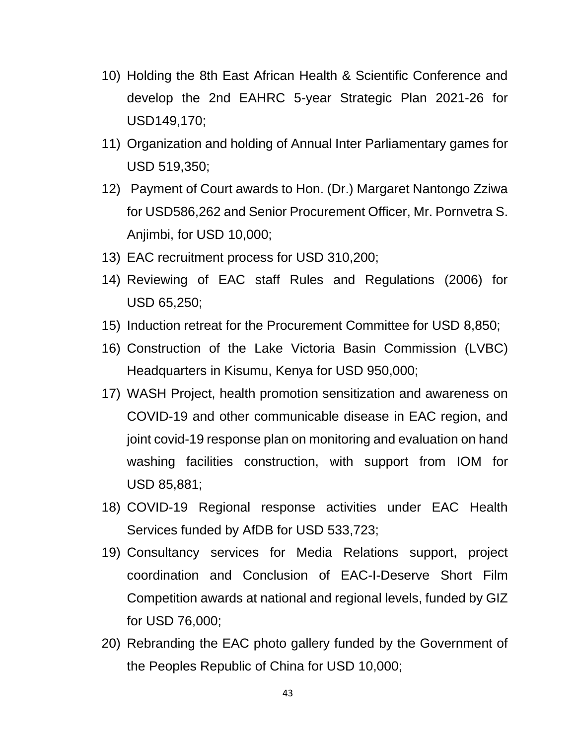- 10) Holding the 8th East African Health & Scientific Conference and develop the 2nd EAHRC 5-year Strategic Plan 2021-26 for USD149,170;
- 11) Organization and holding of Annual Inter Parliamentary games for USD 519,350;
- 12) Payment of Court awards to Hon. (Dr.) Margaret Nantongo Zziwa for USD586,262 and Senior Procurement Officer, Mr. Pornvetra S. Anjimbi, for USD 10,000;
- 13) EAC recruitment process for USD 310,200;
- 14) Reviewing of EAC staff Rules and Regulations (2006) for USD 65,250;
- 15) Induction retreat for the Procurement Committee for USD 8,850;
- 16) Construction of the Lake Victoria Basin Commission (LVBC) Headquarters in Kisumu, Kenya for USD 950,000;
- 17) WASH Project, health promotion sensitization and awareness on COVID-19 and other communicable disease in EAC region, and joint covid-19 response plan on monitoring and evaluation on hand washing facilities construction, with support from IOM for USD 85,881;
- 18) COVID-19 Regional response activities under EAC Health Services funded by AfDB for USD 533,723;
- 19) Consultancy services for Media Relations support, project coordination and Conclusion of EAC-I-Deserve Short Film Competition awards at national and regional levels, funded by GIZ for USD 76,000;
- 20) Rebranding the EAC photo gallery funded by the Government of the Peoples Republic of China for USD 10,000;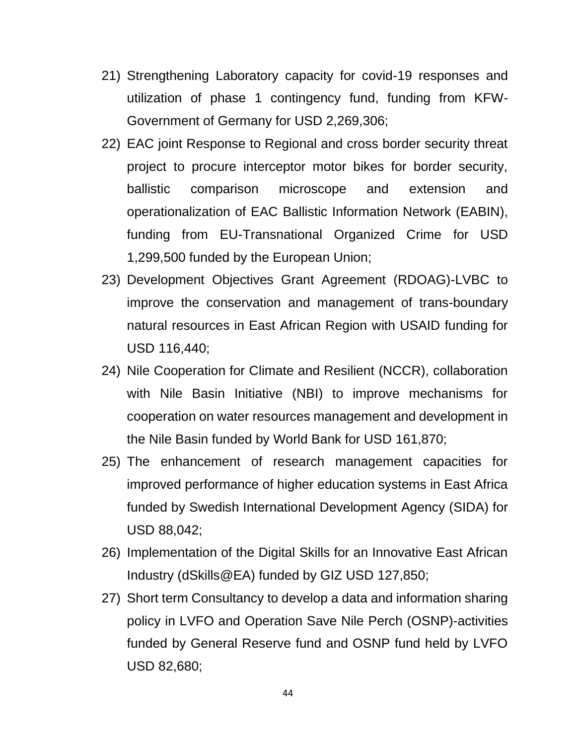- 21) Strengthening Laboratory capacity for covid-19 responses and utilization of phase 1 contingency fund, funding from KFW-Government of Germany for USD 2,269,306;
- 22) EAC joint Response to Regional and cross border security threat project to procure interceptor motor bikes for border security, ballistic comparison microscope and extension and operationalization of EAC Ballistic Information Network (EABIN), funding from EU-Transnational Organized Crime for USD 1,299,500 funded by the European Union;
- 23) Development Objectives Grant Agreement (RDOAG)-LVBC to improve the conservation and management of trans-boundary natural resources in East African Region with USAID funding for USD 116,440;
- 24) Nile Cooperation for Climate and Resilient (NCCR), collaboration with Nile Basin Initiative (NBI) to improve mechanisms for cooperation on water resources management and development in the Nile Basin funded by World Bank for USD 161,870;
- 25) The enhancement of research management capacities for improved performance of higher education systems in East Africa funded by Swedish International Development Agency (SIDA) for USD 88,042;
- 26) Implementation of the Digital Skills for an Innovative East African Industry (dSkills@EA) funded by GIZ USD 127,850;
- 27) Short term Consultancy to develop a data and information sharing policy in LVFO and Operation Save Nile Perch (OSNP)-activities funded by General Reserve fund and OSNP fund held by LVFO USD 82,680;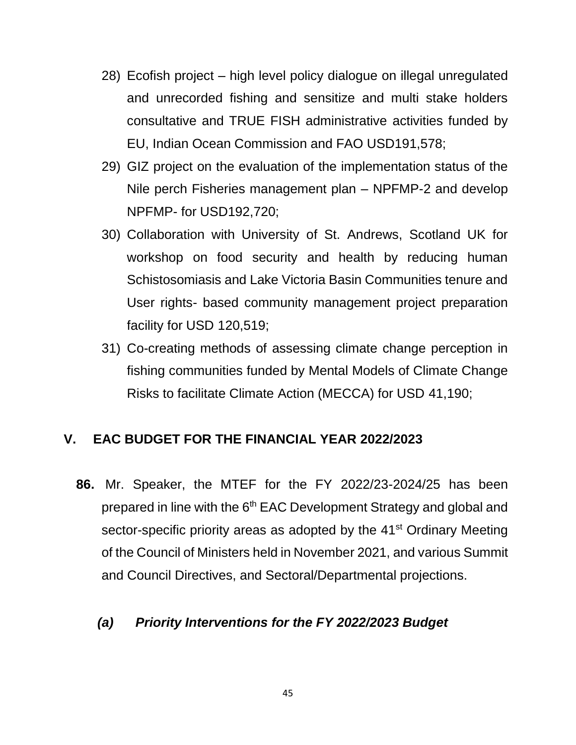- 28) Ecofish project high level policy dialogue on illegal unregulated and unrecorded fishing and sensitize and multi stake holders consultative and TRUE FISH administrative activities funded by EU, Indian Ocean Commission and FAO USD191,578;
- 29) GIZ project on the evaluation of the implementation status of the Nile perch Fisheries management plan – NPFMP-2 and develop NPFMP- for USD192,720;
- 30) Collaboration with University of St. Andrews, Scotland UK for workshop on food security and health by reducing human Schistosomiasis and Lake Victoria Basin Communities tenure and User rights- based community management project preparation facility for USD 120,519;
- 31) Co-creating methods of assessing climate change perception in fishing communities funded by Mental Models of Climate Change Risks to facilitate Climate Action (MECCA) for USD 41,190;

# **V. EAC BUDGET FOR THE FINANCIAL YEAR 2022/2023**

**86.** Mr. Speaker, the MTEF for the FY 2022/23-2024/25 has been prepared in line with the 6<sup>th</sup> EAC Development Strategy and global and sector-specific priority areas as adopted by the 41<sup>st</sup> Ordinary Meeting of the Council of Ministers held in November 2021, and various Summit and Council Directives, and Sectoral/Departmental projections.

# *(a) Priority Interventions for the FY 2022/2023 Budget*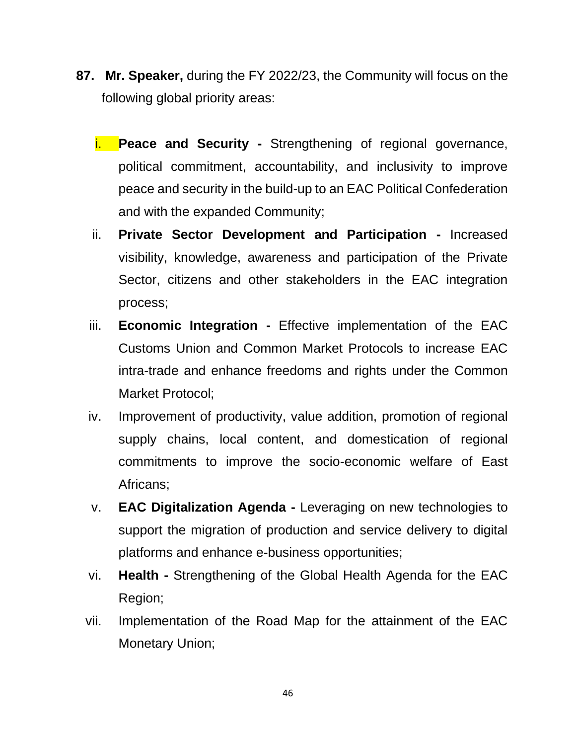- **87. Mr. Speaker,** during the FY 2022/23, the Community will focus on the following global priority areas:
	- i. **Peace and Security -** Strengthening of regional governance, political commitment, accountability, and inclusivity to improve peace and security in the build-up to an EAC Political Confederation and with the expanded Community;
	- ii. **Private Sector Development and Participation -** Increased visibility, knowledge, awareness and participation of the Private Sector, citizens and other stakeholders in the EAC integration process;
	- iii. **Economic Integration -** Effective implementation of the EAC Customs Union and Common Market Protocols to increase EAC intra-trade and enhance freedoms and rights under the Common Market Protocol;
	- iv. Improvement of productivity, value addition, promotion of regional supply chains, local content, and domestication of regional commitments to improve the socio-economic welfare of East Africans;
	- v. **EAC Digitalization Agenda -** Leveraging on new technologies to support the migration of production and service delivery to digital platforms and enhance e-business opportunities;
	- vi. **Health -** Strengthening of the Global Health Agenda for the EAC Region;
	- vii. Implementation of the Road Map for the attainment of the EAC Monetary Union;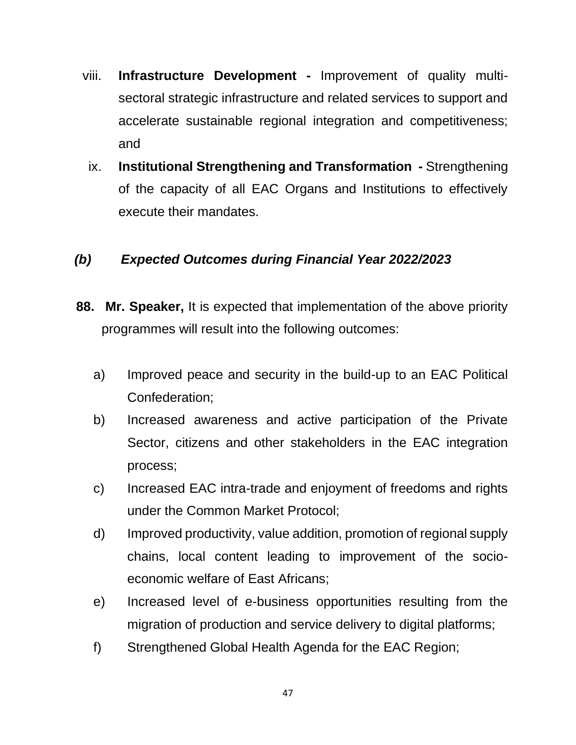- viii. **Infrastructure Development -** Improvement of quality multisectoral strategic infrastructure and related services to support and accelerate sustainable regional integration and competitiveness; and
- ix. **Institutional Strengthening and Transformation -** Strengthening of the capacity of all EAC Organs and Institutions to effectively execute their mandates.

# *(b) Expected Outcomes during Financial Year 2022/2023*

- **88. Mr. Speaker,** It is expected that implementation of the above priority programmes will result into the following outcomes:
	- a) Improved peace and security in the build-up to an EAC Political Confederation;
	- b) Increased awareness and active participation of the Private Sector, citizens and other stakeholders in the EAC integration process;
	- c) Increased EAC intra-trade and enjoyment of freedoms and rights under the Common Market Protocol;
	- d) Improved productivity, value addition, promotion of regional supply chains, local content leading to improvement of the socioeconomic welfare of East Africans;
	- e) Increased level of e-business opportunities resulting from the migration of production and service delivery to digital platforms;
	- f) Strengthened Global Health Agenda for the EAC Region;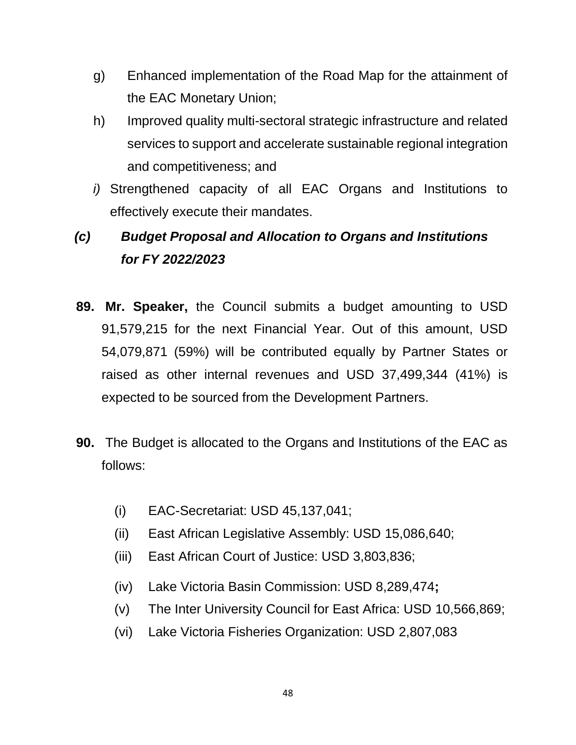- g) Enhanced implementation of the Road Map for the attainment of the EAC Monetary Union;
- h) Improved quality multi-sectoral strategic infrastructure and related services to support and accelerate sustainable regional integration and competitiveness; and
- *i)* Strengthened capacity of all EAC Organs and Institutions to effectively execute their mandates.

# *(c) Budget Proposal and Allocation to Organs and Institutions for FY 2022/2023*

- **89. Mr. Speaker,** the Council submits a budget amounting to USD 91,579,215 for the next Financial Year. Out of this amount, USD 54,079,871 (59%) will be contributed equally by Partner States or raised as other internal revenues and USD 37,499,344 (41%) is expected to be sourced from the Development Partners.
- **90.** The Budget is allocated to the Organs and Institutions of the EAC as follows:
	- (i) EAC-Secretariat: USD 45,137,041;
	- (ii) East African Legislative Assembly: USD 15,086,640;
	- (iii) East African Court of Justice: USD 3,803,836;
	- (iv) Lake Victoria Basin Commission: USD 8,289,474**;**
	- (v) The Inter University Council for East Africa: USD 10,566,869;
	- (vi) Lake Victoria Fisheries Organization: USD 2,807,083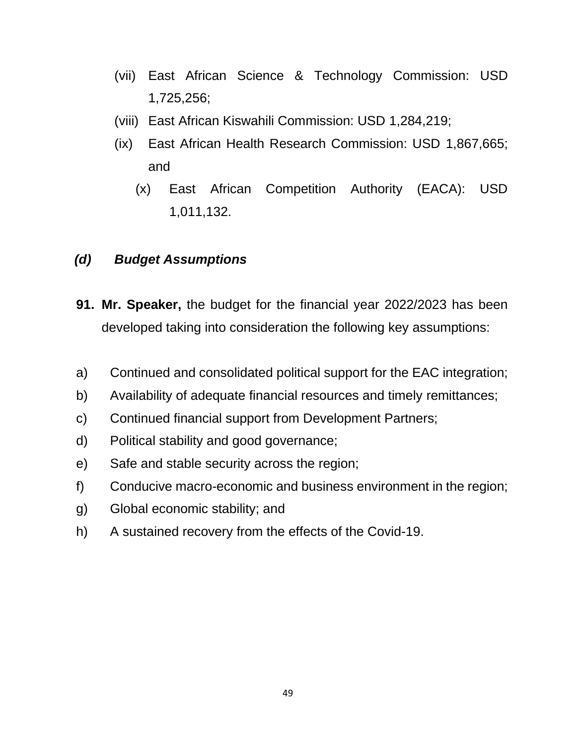- (vii) East African Science & Technology Commission: USD 1,725,256;
- (viii) East African Kiswahili Commission: USD 1,284,219;
- (ix) East African Health Research Commission: USD 1,867,665; and
	- (x) East African Competition Authority (EACA): USD 1,011,132.

# *(d) Budget Assumptions*

- **91. Mr. Speaker,** the budget for the financial year 2022/2023 has been developed taking into consideration the following key assumptions:
- a) Continued and consolidated political support for the EAC integration;
- b) Availability of adequate financial resources and timely remittances;
- c) Continued financial support from Development Partners;
- d) Political stability and good governance;
- e) Safe and stable security across the region;
- f) Conducive macro-economic and business environment in the region;
- g) Global economic stability; and
- h) A sustained recovery from the effects of the Covid-19.